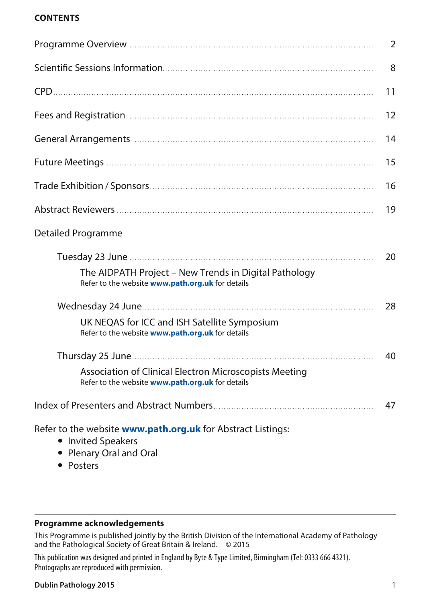#### **CONTENTS**

|                                                                                                                     | $\overline{2}$ |
|---------------------------------------------------------------------------------------------------------------------|----------------|
|                                                                                                                     | 8              |
|                                                                                                                     | 11             |
|                                                                                                                     | 12             |
|                                                                                                                     | 14             |
|                                                                                                                     | 15             |
|                                                                                                                     | 16             |
|                                                                                                                     | 19             |
| Detailed Programme                                                                                                  |                |
|                                                                                                                     | 20             |
| The AIDPATH Project - New Trends in Digital Pathology<br>Refer to the website www.path.org.uk for details           |                |
|                                                                                                                     | 28             |
| UK NEQAS for ICC and ISH Satellite Symposium<br>Refer to the website www.path.org.uk for details                    |                |
|                                                                                                                     | 40             |
| Association of Clinical Electron Microscopists Meeting<br>Refer to the website www.path.org.uk for details          |                |
|                                                                                                                     | 47             |
| Refer to the website <b>www.path.org.uk</b> for Abstract Listings:<br>• Invited Speakers<br>• Plenary Oral and Oral |                |

• Posters

#### **Programme acknowledgements**

This Programme is published jointly by the British Division of the International Academy of Pathology and the Pathological Society of Great Britain & Ireland. © 2015

This publication was designed and printed in England by Byte & Type Limited, Birmingham (Tel: 0333 666 4321). Photographs are reproduced with permission.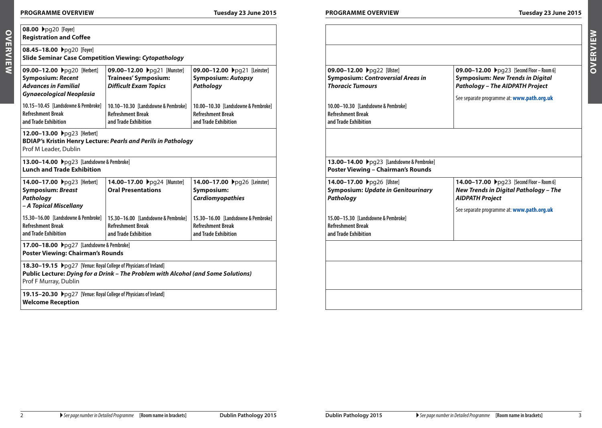**08.00** Apg20 **[Foyer] Registration and Coffee 08.45-18.00 ▶**pg20 [Foyer]

| <b>VO.VU F</b> PYZU [IVYCI]<br><b>Registration and Coffee</b>                                                             |                                                                                            |                                                                                         |                                                                                                   |                                                                                                                                                                              |
|---------------------------------------------------------------------------------------------------------------------------|--------------------------------------------------------------------------------------------|-----------------------------------------------------------------------------------------|---------------------------------------------------------------------------------------------------|------------------------------------------------------------------------------------------------------------------------------------------------------------------------------|
| 08.45-18.00 → pg20 [Foyer]<br><b>Slide Seminar Case Competition Viewing: Cytopathology</b>                                |                                                                                            |                                                                                         |                                                                                                   |                                                                                                                                                                              |
| 09.00-12.00 Ppg20 [Herbert]<br><b>Symposium: Recent</b><br><b>Advances in Familial</b><br><b>Gynaecological Neoplasia</b> | 09.00-12.00 Ppg21 [Munster]<br><b>Trainees' Symposium:</b><br><b>Difficult Exam Topics</b> | 09.00-12.00 >pg21 [Leinster]<br><b>Symposium: Autopsy</b><br>Pathology                  | 09.00-12.00 >pg22 [Ulster]<br><b>Symposium: Controversial Areas in</b><br><b>Thoracic Tumours</b> | 09.00-12.00 ▶pg23 [Second Floor - Room 6]<br><b>Symposium: New Trends in Digital</b><br><b>Pathology - The AIDPATH Project</b><br>See separate programme at: www.path.org.uk |
| 10.15-10.45 [Landsdowne & Pembroke]<br><b>Refreshment Break</b><br>and Trade Exhibition                                   | 10.10-10.30 [Landsdowne & Pembroke]<br><b>Refreshment Break</b><br>and Trade Exhibition    | 10.00-10.30 [Landsdowne & Pembroke]<br><b>Refreshment Break</b><br>and Trade Exhibition | 10.00-10.30 [Landsdowne & Pembroke]<br><b>Refreshment Break</b><br>and Trade Exhibition           |                                                                                                                                                                              |
| 12.00-13.00 ▶pg23 [Herbert]<br>Prof M Leader, Dublin                                                                      | <b>BDIAP's Kristin Henry Lecture: Pearls and Perils in Pathology</b>                       |                                                                                         |                                                                                                   |                                                                                                                                                                              |
| 13.00-14.00 ▶pg23 [Landsdowne & Pembroke]<br><b>Lunch and Trade Exhibition</b>                                            |                                                                                            |                                                                                         | 13.00-14.00 > pg23 [Landsdowne & Pembroke]<br><b>Poster Viewing - Chairman's Rounds</b>           |                                                                                                                                                                              |
| 14.00-17.00 ▶pg23 [Herbert]<br><b>Symposium: Breast</b><br>Pathology<br>- A Topical Miscellany                            | 14.00-17.00 ▶pg24 [Munster]<br><b>Oral Presentations</b>                                   | 14.00-17.00 >pg26 [Leinster]<br>Symposium:<br><b>Cardiomyopathies</b>                   | 14.00-17.00 >pg26 [Ulster]<br><b>Symposium: Update in Genitourinary</b><br><b>Pathology</b>       | 14.00-17.00 Ppg23 [Second Floor - Room 6]<br><b>New Trends in Digital Pathology - The</b><br><b>AIDPATH Project</b>                                                          |
| 15.30-16.00 [Landsdowne & Pembroke]<br><b>Refreshment Break</b><br>and Trade Exhibition                                   | 15.30-16.00 [Landsdowne & Pembroke]<br><b>Refreshment Break</b><br>and Trade Exhibition    | 15.30-16.00 [Landsdowne & Pembroke]<br><b>Refreshment Break</b><br>and Trade Exhibition | 15.00-15.30 [Landsdowne & Pembroke]<br><b>Refreshment Break</b><br>and Trade Exhibition           | See separate programme at: www.path.org.uk                                                                                                                                   |
| 17.00-18.00 > pg27 [Landsdowne & Pembroke]<br><b>Poster Viewing: Chairman's Rounds</b>                                    |                                                                                            |                                                                                         |                                                                                                   |                                                                                                                                                                              |
| 18.30-19.15 Ppg27 [Venue: Royal College of Physicians of Ireland]<br>Prof F Murray, Dublin                                | Public Lecture: Dying for a Drink - The Problem with Alcohol (and Some Solutions)          |                                                                                         |                                                                                                   |                                                                                                                                                                              |
| 19.15–20.30 ▶pg27 [Venue: Royal College of Physicians of Ireland]<br><b>Welcome Reception</b>                             |                                                                                            |                                                                                         |                                                                                                   |                                                                                                                                                                              |
|                                                                                                                           |                                                                                            |                                                                                         |                                                                                                   |                                                                                                                                                                              |

| ۰ |
|---|
|   |
|   |
|   |
|   |

 $\sim$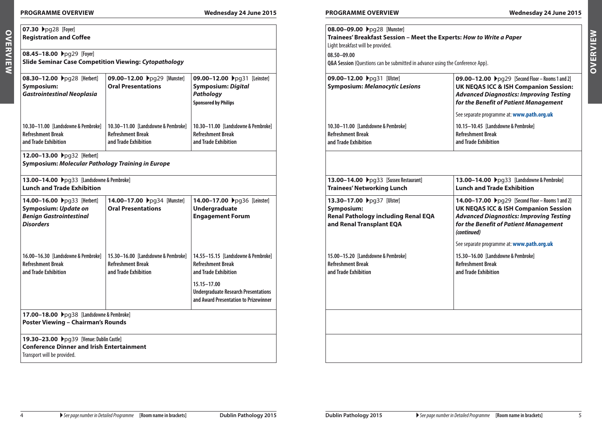**Symposium:**

**Refreshment Break and Trade Exhibition**

**07.30** Apg28 **[Foyer] Registration and Coffee** 

**08.45−18.00**  $\rho$ pg29 [Foyer]

**08.30−12.00**  $\rho$ pg28 [Herbert]

*Gastrointestinal Neoplasia*

**10.30–11.00 [Landsdowne & Pembroke]**

| ednesday 24 June 2015 |  |  |
|-----------------------|--|--|
|-----------------------|--|--|

**OVERVIEW Overview**

| 09.00-12.00 Ppg31 [Leinster]<br>09.00-12.00 Ppg31 [Ulster]<br>09.00-12.00 ▶pg29 [Second Floor - Rooms 1 and 2]<br><b>Symposium: Digital</b><br><b>Symposium: Melanocytic Lesions</b><br><b>UK NEQAS ICC &amp; ISH Companion Session:</b><br><b>Pathology</b><br><b>Advanced Diagnostics: Improving Testing</b><br>for the Benefit of Patient Management<br><b>Sponsored by Philips</b><br>See separate programme at: www.path.org.uk<br>10.30-11.00 [Landsdowne & Pembroke]<br>10.30-11.00 [Landsdowne & Pembroke]<br>10.15-10.45 [Landsdowne & Pembroke]<br><b>Refreshment Break</b><br><b>Refreshment Break</b><br><b>Refreshment Break</b> |  |
|-----------------------------------------------------------------------------------------------------------------------------------------------------------------------------------------------------------------------------------------------------------------------------------------------------------------------------------------------------------------------------------------------------------------------------------------------------------------------------------------------------------------------------------------------------------------------------------------------------------------------------------------------|--|
|                                                                                                                                                                                                                                                                                                                                                                                                                                                                                                                                                                                                                                               |  |
| and Trade Exhibition<br>and Trade Exhibition<br>and Trade Exhibition                                                                                                                                                                                                                                                                                                                                                                                                                                                                                                                                                                          |  |
| 13.00-14.00 Ppg33 [Sussex Restaurant]<br>13.00-14.00 >pg33 [Landsdowne & Pembroke]<br><b>Trainees' Networking Lunch</b><br><b>Lunch and Trade Exhibition</b>                                                                                                                                                                                                                                                                                                                                                                                                                                                                                  |  |
| 14.00-17.00 >pg36 [Leinster]<br>13.30-17.00 Ppg37 [Ulster]<br>14.00-17.00 ▶pg29 [Second Floor - Rooms 1 and 2]<br><b>Undergraduate</b><br><b>UK NEQAS ICC &amp; ISH Companion Session</b><br>Symposium:<br><b>Renal Pathology including Renal EQA</b><br><b>Advanced Diagnostics: Improving Testing</b><br><b>Engagement Forum</b><br>and Renal Transplant EQA<br>for the Benefit of Patient Management<br>(continued)                                                                                                                                                                                                                        |  |
| See separate programme at: www.path.org.uk                                                                                                                                                                                                                                                                                                                                                                                                                                                                                                                                                                                                    |  |
| 14.55-15.15 [Landsdowne & Pembroke]<br>15.00-15.20 [Landsdowne & Pembroke]<br>15.30-16.00 [Landsdowne & Pembroke]<br><b>Refreshment Break</b><br><b>Refreshment Break</b><br><b>Refreshment Break</b><br>and Trade Exhibition<br>and Trade Exhibition<br>and Trade Exhibition                                                                                                                                                                                                                                                                                                                                                                 |  |
| 15.15-17.00<br><b>Undergraduate Research Presentations</b><br>and Award Presentation to Prizewinner                                                                                                                                                                                                                                                                                                                                                                                                                                                                                                                                           |  |
|                                                                                                                                                                                                                                                                                                                                                                                                                                                                                                                                                                                                                                               |  |
|                                                                                                                                                                                                                                                                                                                                                                                                                                                                                                                                                                                                                                               |  |

| ٠<br>٦ |
|--------|
|        |
|        |
|        |
|        |
|        |
|        |

**Slide Seminar Case Competition Viewing:** *Cytopathology*

**09.00–12.00** Apg29 **[Munster] Oral Presentations**

**10.30–11.00 [Landsdowne & Pembroke]**

**Refreshment Break and Trade Exhibition**

| 14.00-16.00 Ppg33 [Herbert]<br>Symposium: Update on<br><b>Benign Gastrointestinal</b><br><b>Disorders</b> | 14.00-17.00 ▶pg34 [Munster]<br><b>Oral Presentations</b>                                | 14.00-17.00 ▶pq36 [Leinster]<br><b>Undergraduate</b><br><b>Engagement Forum</b>                   |
|-----------------------------------------------------------------------------------------------------------|-----------------------------------------------------------------------------------------|---------------------------------------------------------------------------------------------------|
| 16.00–16.30 [Landsdowne & Pembroke]<br><b>Refreshment Break</b><br>and Trade Exhibition                   | 15.30–16.00 [Landsdowne & Pembroke]<br><b>Refreshment Break</b><br>and Trade Exhibition | 14.55-15.15 [Landsdowne & Pembroke<br><b>Refreshment Break</b><br>and Trade Exhibition            |
|                                                                                                           |                                                                                         | 15.15-17.00<br><b>Undergraduate Research Presentation</b><br>and Award Presentation to Prizewinne |

**19.30–23.00** ▶pq39 *[Venue: Dublin Castle]* 

**Conference Dinner and Irish Entertainment** Transport will be provided.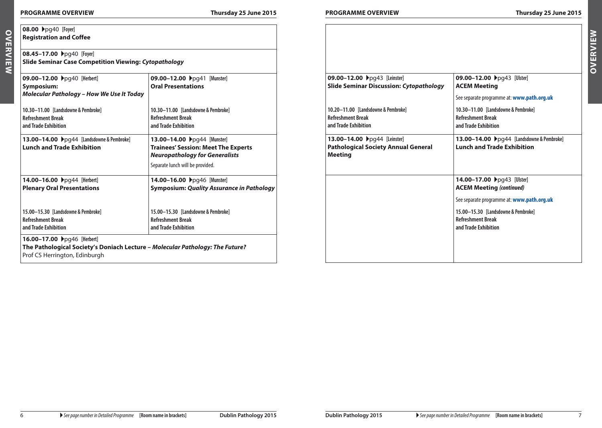**08.00** Apg40 **[Foyer]**

| topathology                                                                                                        |                                                                                              |                                                                                                                                       |
|--------------------------------------------------------------------------------------------------------------------|----------------------------------------------------------------------------------------------|---------------------------------------------------------------------------------------------------------------------------------------|
| 09.00-12.00 >pg41 [Munster]<br><b>Oral Presentations</b>                                                           | 09.00-12.00 Ppg43 [Leinster]<br><b>Slide Seminar Discussion: Cytopathology</b>               | 09.00-12.00 ▶pg43 [Ulster]<br><b>ACEM Meeting</b>                                                                                     |
| 10.30-11.00 [Landsdowne & Pembroke]<br><b>Refreshment Break</b><br>and Trade Exhibition                            | 10.20-11.00 [Landsdowne & Pembroke]<br><b>Refreshment Break</b><br>and Trade Exhibition      | See separate programme at: www.path.org.uk<br>10.30-11.00 [Landsdowne & Pembroke]<br><b>Refreshment Break</b><br>and Trade Exhibition |
| 13.00-14.00 >pg44 [Munster]<br><b>Trainees' Session: Meet The Experts</b><br><b>Neuropathology for Generalists</b> | 13.00-14.00 ▶pg44 [Leinster]<br><b>Pathological Society Annual General</b><br><b>Meeting</b> | 13.00-14.00 ▶pg44 [Landsdowne & Pembroke]<br><b>Lunch and Trade Exhibition</b>                                                        |
| Separate lunch will be provided.                                                                                   |                                                                                              |                                                                                                                                       |
| 14.00-16.00 >pg46 [Munster]<br><b>Symposium: Quality Assurance in Pathology</b>                                    |                                                                                              | 14.00-17.00 ▶pg43 [Ulster]<br><b>ACEM Meeting (continued)</b>                                                                         |
| 15.00-15.30 [Landsdowne & Pembroke]<br><b>Refreshment Break</b><br>and Trade Exhibition                            |                                                                                              | See separate programme at: www.path.org.uk<br>15.00-15.30 [Landsdowne & Pembroke]<br><b>Refreshment Break</b><br>and Trade Exhibition |
| - Molecular Pathology: The Future?                                                                                 |                                                                                              |                                                                                                                                       |

OVERVIEW **Overview Registration and Coffee 08.45−17.00**  $\rho$ pq40 [Foyer] **Slide Seminar Case Competition Viewing:** *Cytopathology*

**09.00−12.00**  $\rho$ pq40 [Herbert]

**Symposium:**  *Molecular Pathology – How We Use It Today* **10.30–11.00 [Landsdowne & Pembroke] Refreshment Break and Trade Exhibition Oral Presentations 10.30–11.00 [Landsdowne & Pembroke] Refreshment Break and Trade Exhibition 13.00−14.00**  $\rho$ pg44 [Landsdowne & Pembroke] **Lunch and Trade Exhibition 13.00−14.00**  $\rho$ pq44 [Mun **Trainees' Session: Meet Neuropathology for Gen** Separate lunch will be provided. **14.00–16.00** Apg44 **[Herbert] Plenary Oral Presentations 15.00–15.30 [Landsdowne & Pembroke] Refreshment Break and Trade Exhibition 14.00-16.00 ▶**pg46 [Mun **Symposium: Quality Asst 15.00–15.30 [Landsdowne & Pembroke] Refreshment Break and Trade Exhibition 16.00−17.00**  $\rho$ pg46 [Herbert] **The Pathological Society's Doniach Lecture –** *Molecular Pathology: The Future?*

Prof CS Herrington, Edinburgh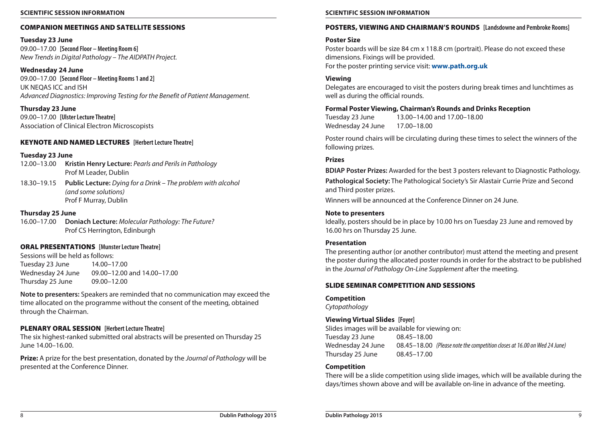#### **Scientific Session Information Scientific Session Information**

#### COMPANION MEETINGS and SATELLITE SESSIONS

#### **Tuesday 23 June**

09.00–17.00 **[Second Floor – Meeting Room 6]** *New Trends in Digital Pathology – The AIDPATH Project.*

#### **Wednesday 24 June**

09.00–17.00 **[Second Floor – Meeting Rooms 1 and 2]** UK NEQAS ICC and ISH *Advanced Diagnostics: Improving Testing for the Benefit of Patient Management.*

## **Thursday 23 June**

09.00–17.00 **[Ulster Lecture Theatre]** Association of Clinical Electron Microscopists

### KEYNOTE AND NAMED LECTURES **[Herbert Lecture Theatre]**

### **Tuesday 23 June**

- 12.00–13.00 **Kristin Henry Lecture:** *Pearls and Perils in Pathology* Prof M Leader, Dublin
- 18.30–19.15 **Public Lecture:** *Dying for a Drink The problem with alcohol (and some solutions)* Prof F Murray, Dublin

### **Thursday 25 June**

16.00–17.00 **Doniach Lecture:** *Molecular Pathology: The Future?* Prof CS Herrington, Edinburgh

#### ORAL PRESENTATIONS **[Munster Lecture Theatre]**

Sessions will be held as follows: Tuesday 23 June 14.00–17.00 Wednesday 24 June 09.00–12.00 and 14.00–17.00 Thursday 25 June 09.00–12.00

**Note to presenters:** Speakers are reminded that no communication may exceed the time allocated on the programme without the consent of the meeting, obtained through the Chairman.

### PLENARY ORAL SESSION **[Herbert Lecture Theatre]**

The six highest-ranked submitted oral abstracts will be presented on Thursday 25 June 14.00–16.00.

**Prize:** A prize for the best presentation, donated by the *Journal of Pathology* will be presented at the Conference Dinner.

### POSTERS, VIEWING and CHAIRMAN'S ROUNDS **[Landsdowne and Pembroke Rooms]**

#### **Poster Size**

Poster boards will be size 84 cm x 118.8 cm (portrait). Please do not exceed these dimensions. Fixings will be provided. For the poster printing service visit: **[www.path.org.uk](http://www.path.org.uk)**

#### **Viewing**

Delegates are encouraged to visit the posters during break times and lunchtimes as well as during the official rounds.

### **Formal Poster Viewing, Chairman's Rounds and Drinks Reception**

Tuesday 23 June 13.00–14.00 and 17.00–18.00 Wednesday 24 June 17.00–18.00

Poster round chairs will be circulating during these times to select the winners of the following prizes.

#### **Prizes**

**BDIAP Poster Prizes:** Awarded for the best 3 posters relevant to Diagnostic Pathology.

**Pathological Society:** The Pathological Society's Sir Alastair Currie Prize and Second and Third poster prizes.

Winners will be announced at the Conference Dinner on 24 June.

#### **Note to presenters**

Ideally, posters should be in place by 10.00 hrs on Tuesday 23 June and removed by 16.00 hrs on Thursday 25 June.

### **Presentation**

The presenting author (or another contributor) must attend the meeting and present the poster during the allocated poster rounds in order for the abstract to be published in the *Journal of Pathology On-Line Supplement* after the meeting.

#### SLIDE SEMINAR COMPETITION and SESSIONS

#### **Competition**

*Cytopathology*

### **Viewing Virtual Slides [Foyer]**

Slides images will be available for viewing on: Tuesday 23 June 08.45–18.00 Wednesday 24 June 08.45–18.00 *(Please note the competition closes at 16.00 on Wed 24 June)* Thursday 25 June 08.45–17.00

#### **Competition**

There will be a slide competition using slide images, which will be available during the days/times shown above and will be available on-line in advance of the meeting.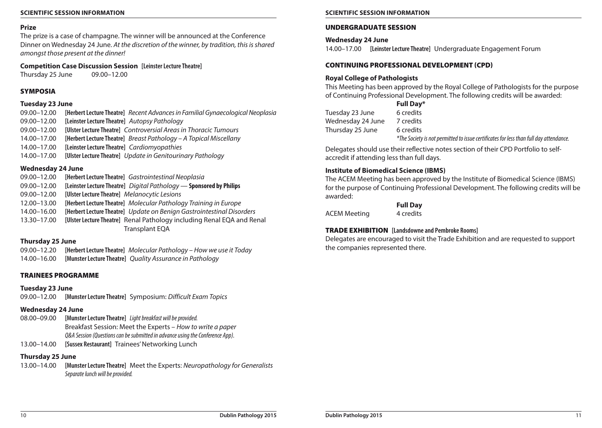## **Prize**

The prize is a case of champagne. The winner will be announced at the Conference Dinner on Wednesday 24 June. *At the discretion of the winner, by tradition, this is shared amongst those present at the dinner!*

## **Competition Case Discussion Session [Leinster Lecture Theatre]**

Thursday 25 June 09.00–12.00

## SYMPOSIA

## **Tuesday 23 June**

- 09.00–12.00 **[Herbert Lecture Theatre]** *Recent Advances in Familial Gynaecological Neoplasia*
- 09.00–12.00 **[Leinster Lecture Theatre]** *Autopsy Pathology*
- 09.00–12.00 **[Ulster Lecture Theatre]** *Controversial Areas in Thoracic Tumours*
- 14.00–17.00 **[Herbert Lecture Theatre]** *Breast Pathology A Topical Miscellany*
- 14.00–17.00 **[Leinster Lecture Theatre]** *Cardiomyopathies*
- 14.00–17.00 **[Ulster Lecture Theatre]** *Update in Genitourinary Pathology*

## **Wednesday 24 June**

- 09.00–12.00 **[Herbert Lecture Theatre]** *Gastrointestinal Neoplasia*
- 09.00–12.00 **[Leinster Lecture Theatre]** *Digital Pathology* **Sponsored by Philips**
- 09.00–12.00 **[Ulster Lecture Theatre]** *Melanocytic Lesions*
- 12.00–13.00 **[Herbert Lecture Theatre]** *Molecular Pathology Training in Europe*
- 14.00–16.00 **[Herbert Lecture Theatre]** *Update on Benign Gastrointestinal Disorders*
- 13.30–17.00 **[Ulster Lecture Theatre]** Renal Pathology including Renal EQA and Renal Transplant EQA

## **Thursday 25 June**

09.00–12.20 **[Herbert Lecture Theatre]** *Molecular Pathology – How we use it Today*

14.00–16.00 **[Munster Lecture Theatre]** *Quality Assurance in Pathology*

## TRAINEES PROGRAMME

## **Tuesday 23 June**

09.00–12.00 **[Munster Lecture Theatre]** Symposium: *Difficult Exam Topics*

## **Wednesday 24 June**

- 08.00–09.00 **[Munster Lecture Theatre]** *Light breakfast will be provided.* Breakfast Session: Meet the Experts – *How to write a paper Q&A Session (Questions can be submitted in advance using the Conference App).*
- 13.00–14.00 **[Sussex Restaurant]** Trainees' Networking Lunch

## **Thursday 25 June**

13.00–14.00 **[Munster Lecture Theatre]** Meet the Experts: *Neuropathology for Generalists Separate lunch will be provided.*

## **Scientific Session Information Scientific Session Information**

## UndergradUate Session

## **Wednesday 24 June**

14.00–17.00 **[Leinster Lecture Theatre]** Undergraduate Engagement Forum

## CONTINUING PROFESSIONAL DEVELOPMENT (CPD)

## **Royal College of Pathologists**

This Meeting has been approved by the Royal College of Pathologists for the purpose of Continuing Professional Development. The following credits will be awarded:

## **Full Day\***

| Tuesday 23 June   | 6 credits |
|-------------------|-----------|
| Wednesday 24 June | 7 credits |
| Thursday 25 June  | 6 credits |
|                   |           |

*\*The Society is not permitted to issue certificates for less than full day attendance.* 

Delegates should use their reflective notes section of their CPD Portfolio to selfaccredit if attending less than full days.

## **Institute of Biomedical Science (IBMS)**

The ACEM Meeting has been approved by the Institute of Biomedical Science (IBMS) for the purpose of Continuing Professional Development. The following credits will be awarded:

**Full Day**

ACEM Meeting 4 credits

## TRADE EXHIBITION **[Landsdowne and Pembroke Rooms]**

Delegates are encouraged to visit the Trade Exhibition and are requested to support the companies represented there.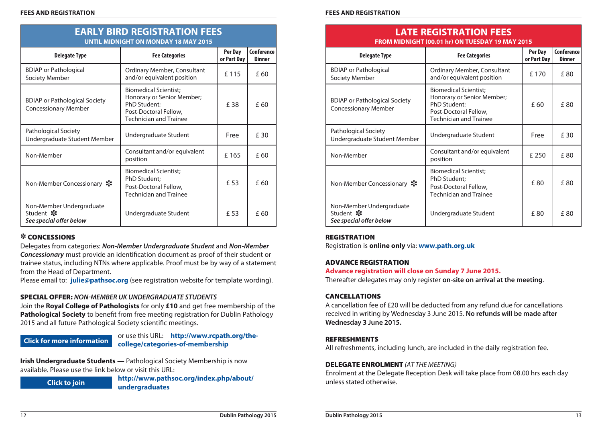|                                                                     | UNTIL MIDNIGHT ON MONDAY 18 MAY 2015                                                                                                 |                        |                                    |
|---------------------------------------------------------------------|--------------------------------------------------------------------------------------------------------------------------------------|------------------------|------------------------------------|
| <b>Delegate Type</b>                                                | <b>Fee Categories</b>                                                                                                                | Per Day<br>or Part Day | <b>Conference</b><br><b>Dinner</b> |
| <b>BDIAP</b> or Pathological<br>Society Member                      | Ordinary Member, Consultant<br>and/or equivalent position                                                                            | £115                   | £ 60                               |
| <b>BDIAP or Pathological Society</b><br><b>Concessionary Member</b> | <b>Biomedical Scientist;</b><br>Honorary or Senior Member;<br>PhD Student;<br>Post-Doctoral Fellow,<br><b>Technician and Trainee</b> | £38                    | £ 60                               |
| Pathological Society<br>Undergraduate Student Member                | Undergraduate Student                                                                                                                | Free                   | £ 30                               |
| Non-Member                                                          | Consultant and/or equivalent<br>position                                                                                             | £165                   | £ 60                               |
| Non-Member Concessionary ※                                          | Biomedical Scientist;<br>PhD Student;<br>Post-Doctoral Fellow,<br><b>Technician and Trainee</b>                                      | £ 53                   | £ 60                               |
| Non-Member Undergraduate<br>Student *<br>See special offer below    | Undergraduate Student                                                                                                                | £ 53                   | £ 60                               |

**EARLY BIRD REGISTRATION FEES**

#### X Concessions

Delegates from categories: *Non-Member Undergraduate Student* and *Non-Member Concessionary* must provide an identification document as proof of their student or trainee status, including NTNs where applicable. Proof must be by way of a statement from the Head of Department.

Please email to: **[julie@pathsoc.org](mailto:julie%40pathsoc.org?subject=Dublin%20Pathology%202015%20-%20Concessions)** (see registration website for template wording).

## Special OfFER: *Non-Member UK Undergraduate Students*

Join the **Royal College of Pathologists** for only **£10** and get free membership of the **Pathological Society** to benefit from free meeting registration for Dublin Pathology 2015 and all future Pathological Society scientific meetings.

## **[Click for more information](http://www.rcpath.org/the-college/categories-of-membership)**

## or use this URL: **[http://www.rcpath.org/the](http://www.rcpath.org/the-college/categories-of-membership)[college/categories-of-membership](http://www.rcpath.org/the-college/categories-of-membership)**

**Irish Undergraduate Students** — Pathological Society Membership is now available. Please use the link below or visit this URL:

**[Click to join](http://www.pathsoc.org/index.php/about/undergraduates)**

**[http://www.pathsoc.org/index.php/about/](http://www.pathsoc.org/index.php/about/undergraduates) [undergraduates](http://www.pathsoc.org/index.php/about/undergraduates)**

#### **FEES AND REGISTRATION FEES AND REGISTRATION**

|                                                                     | <b>LATE REGISTRATION FEES</b><br>FROM MIDNIGHT (00.01 hr) ON TUESDAY 19 MAY 2015                                                     |                        |                             |
|---------------------------------------------------------------------|--------------------------------------------------------------------------------------------------------------------------------------|------------------------|-----------------------------|
| <b>Delegate Type</b>                                                | <b>Fee Categories</b>                                                                                                                | Per Day<br>or Part Day | Conference<br><b>Dinner</b> |
| <b>BDIAP</b> or Pathological<br>Society Member                      | Ordinary Member, Consultant<br>and/or equivalent position                                                                            | £ 170                  | f 80                        |
| <b>BDIAP</b> or Pathological Society<br><b>Concessionary Member</b> | <b>Biomedical Scientist;</b><br>Honorary or Senior Member;<br>PhD Student;<br>Post-Doctoral Fellow,<br><b>Technician and Trainee</b> | £ 60                   | £80                         |
| <b>Pathological Society</b><br>Undergraduate Student Member         | Undergraduate Student                                                                                                                | Free                   | £ 30                        |
| Non-Member                                                          | Consultant and/or equivalent<br>position                                                                                             | £ 250                  | £80                         |
| Non-Member Concessionary ※                                          | <b>Biomedical Scientist;</b><br>PhD Student;<br>Post-Doctoral Fellow,<br><b>Technician and Trainee</b>                               | £80                    | £ 80                        |
| Non-Member Undergraduate<br>Student *<br>See special offer below    | Undergraduate Student                                                                                                                | £80                    | £80                         |

### **REGISTRATION**

Registration is **online only** via: **[www.path.org.uk](http://www.pathsoc.org.uk)**

### Advance registration

## **Advance registration will close on Sunday 7 June 2015.**

Thereafter delegates may only register **on-site on arrival at the meeting**.

### **CANCELLATIONS**

A cancellation fee of £20 will be deducted from any refund due for cancellations received in writing by Wednesday 3 June 2015. **No refunds will be made after Wednesday 3 June 2015.**

## **REFRESHMENTS**

All refreshments, including lunch, are included in the daily registration fee.

## DELEGATE ENROLMENT *(AT THE MEETING)*

Enrolment at the Delegate Reception Desk will take place from 08.00 hrs each day unless stated otherwise.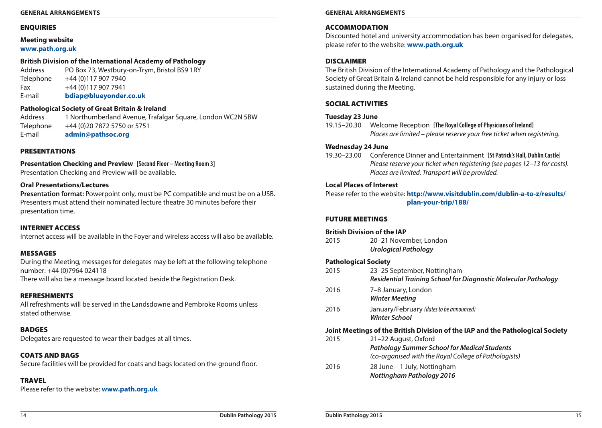### **ENQUIRIES**

#### **Meeting website [www.path.org.uk](http://www.path.org.uk-1)**

## **British Division of the International Academy of Pathology**

Address PO Box 73, Westbury-on-Trym, Bristol BS9 1RY Telephone +44 (0)117 907 7940 Fax +44 (0) 117 907 7941 E-mail **[bdiap@blueyonder.co.uk](mailto:bdiap%40blueyonder.co.uk?subject=Dublin%20Pathology%202015)**

### **Pathological Society of Great Britain & Ireland**

Address 1 Northumberland Avenue, Trafalgar Square, London WC2N 5BW Telephone +44 (0)20 7872 5750 or 5751 E-mail **[admin@pathsoc.org](mailto:admin%40pathsoc.org?subject=Dublin%20Pathology%202015)**

#### **PRESENTATIONS**

# **Presentation Checking and Preview [Second Floor – Meeting Room 3]**

Presentation Checking and Preview will be available.

#### **Oral Presentations/Lectures**

**Presentation format:** Powerpoint only, must be PC compatible and must be on a USB. Presenters must attend their nominated lecture theatre 30 minutes before their presentation time.

#### Internet Access

Internet access will be available in the Foyer and wireless access will also be available.

#### **MESSAGES**

During the Meeting, messages for delegates may be left at the following telephone number: +44 (0)7964 024118

There will also be a message board located beside the Registration Desk.

## Refreshments

All refreshments will be served in the Landsdowne and Pembroke Rooms unless stated otherwise.

## **BADGES**

Delegates are requested to wear their badges at all times.

## COATS AND RAGS

Secure facilities will be provided for coats and bags located on the ground floor.

## **TRAVEL**

Please refer to the website: **[www.path.org.uk](http://www.path.org.uk-1)**

### **General Arrangements General Arrangements**

## **ACCOMMODATION**

Discounted hotel and university accommodation has been organised for delegates, please refer to the website: **[www.path.org.uk](http://www.path.org.uk-1)**

### **DISCLAIMER**

The British Division of the International Academy of Pathology and the Pathological Society of Great Britain & Ireland cannot be held responsible for any injury or loss sustained during the Meeting.

### SOCIAL ACTIVITIES

#### **Tuesday 23 June**

19.15–20.30 Welcome Reception **[The Royal College of Physicians of Ireland]** *Places are limited – please reserve your free ticket when registering.*

### **Wednesday 24 June**

19.30–23.00 Conference Dinner and Entertainment **[St Patrick's Hall, Dublin Castle]** *Please reserve your ticket when registering (see pages 12–13 for costs). Places are limited. Transport will be provided.*

### **Local Places of Interest**

Please refer to the website: **[http://www.visitdublin.com/dublin-a-to-z/results/](http://www.visitdublin.com/dublin-a-to-z/results/plan-your-trip/188/) [plan-your-trip/188/](http://www.visitdublin.com/dublin-a-to-z/results/plan-your-trip/188/)**

#### FUTURE MEETINGS

#### **British Division of the IAP**

2015 20–21 November, London *Urological Pathology*

### **Pathological Society**

| 2015 | 23–25 September, Nottingham<br>Residential Training School for Diagnostic Molecular Pathology                                        |
|------|--------------------------------------------------------------------------------------------------------------------------------------|
| 2016 | 7-8 January, London<br><b>Winter Meeting</b>                                                                                         |
| 2016 | January/February (dates to be announced)<br>Winter School                                                                            |
|      |                                                                                                                                      |
|      | Joint Meetings of the British Division of the IAP and the Pathological Society                                                       |
| 2015 | 21–22 August, Oxford<br><b>Pathology Summer School for Medical Students</b><br>(co-organised with the Royal College of Pathologists) |
| 2016 | 28 June - 1 July, Nottingham<br><b>Nottingham Pathology 2016</b>                                                                     |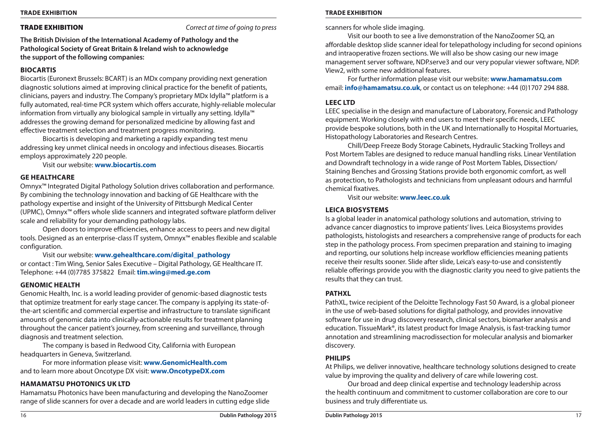Trade Exhibition *Correct at time of going to press*

**The British Division of the International Academy of Pathology and the Pathological Society of Great Britain & Ireland wish to acknowledge the support of the following companies:** 

### **Biocartis**

Biocartis (Euronext Brussels: BCART) is an MDx company providing next generation diagnostic solutions aimed at improving clinical practice for the benefit of patients, clinicians, payers and industry. The Company's proprietary MDx Idylla™ platform is a fully automated, real-time PCR system which offers accurate, highly-reliable molecular information from virtually any biological sample in virtually any setting. Idylla™ addresses the growing demand for personalized medicine by allowing fast and effective treatment selection and treatment progress monitoring.

Biocartis is developing and marketing a rapidly expanding test menu addressing key unmet clinical needs in oncology and infectious diseases. Biocartis employs approximately 220 people.

Visit our website: **[www.biocartis.com](http://www.biocartis.com)**

### **GE Healthcare**

Omnyx™ Integrated Digital Pathology Solution drives collaboration and performance. By combining the technology innovation and backing of GE Healthcare with the pathology expertise and insight of the University of Pittsburgh Medical Center (UPMC), Omnyx™ offers whole slide scanners and integrated software platform deliver scale and reliability for your demanding pathology labs.

Open doors to improve efficiencies, enhance access to peers and new digital tools. Designed as an enterprise-class IT system, Omnyx™ enables flexible and scalable configuration.

Visit our website: **[www.gehealthcare.com/digital\\_pathology](http://www.gehealthcare.com/digital_pathology)** or contact : Tim Wing, Senior Sales Executive – Digital Pathology, GE Healthcare IT. Telephone: +44 (0)7785 375822 Email: **[tim.wing@med.ge.com](mailto:tim.wing%40med.ge.com?subject=Dublin%20Pathology%202015)**

### **Genomic Health**

Genomic Health, Inc. is a world leading provider of genomic-based diagnostic tests that optimize treatment for early stage cancer. The company is applying its state-ofthe-art scientific and commercial expertise and infrastructure to translate significant amounts of genomic data into clinically-actionable results for treatment planning throughout the cancer patient's journey, from screening and surveillance, through diagnosis and treatment selection.

The company is based in Redwood City, California with European headquarters in Geneva, Switzerland.

For more information please visit: **[www.GenomicHealth.com](http://www.GenomicHealth.com)** and to learn more about Oncotype DX visit: **[www.OncotypeDX.com](http://www.OncotypeDX.com)**

## **Hamamatsu Photonics UK Ltd**

Hamamatsu Photonics have been manufacturing and developing the NanoZoomer range of slide scanners for over a decade and are world leaders in cutting edge slide

#### **Trade Exhibition Trade Exhibition**

scanners for whole slide imaging.

Visit our booth to see a live demonstration of the NanoZoomer SQ, an affordable desktop slide scanner ideal for telepathology including for second opinions and intraoperative frozen sections. We will also be show casing our new image management server software, NDP.serve3 and our very popular viewer software, NDP. View2, with some new additional features.

For further information please visit our website: **[www.hamamatsu.com](http://www.hamamatsu.com)** email: **[info@hamamatsu.co.uk](mailto:info%40hamamatsu.co.uk?subject=Dublin%20Pathology%202015)**, or contact us on telephone: +44 (0)1707 294 888.

### **Leec Ltd**

LEEC specialise in the design and manufacture of Laboratory, Forensic and Pathology equipment. Working closely with end users to meet their specific needs, LEEC provide bespoke solutions, both in the UK and Internationally to Hospital Mortuaries, Histopathology Laboratories and Research Centres.

Chill/Deep Freeze Body Storage Cabinets, Hydraulic Stacking Trolleys and Post Mortem Tables are designed to reduce manual handling risks. Linear Ventilation and Downdraft technology in a wide range of Post Mortem Tables, Dissection/ Staining Benches and Grossing Stations provide both ergonomic comfort, as well as protection, to Pathologists and technicians from unpleasant odours and harmful chemical fixatives.

Visit our website: **[www.leec.co.uk](http://www.leec.co.uk)**

### **Leica Biosystems**

Is a global leader in anatomical pathology solutions and automation, striving to advance cancer diagnostics to improve patients' lives. Leica Biosystems provides pathologists, histologists and researchers a comprehensive range of products for each step in the pathology process. From specimen preparation and staining to imaging and reporting, our solutions help increase workflow efficiencies meaning patients receive their results sooner. Slide after slide, Leica's easy-to-use and consistently reliable offerings provide you with the diagnostic clarity you need to give patients the results that they can trust.

### **PATHXL**

PathXL, twice recipient of the Deloitte Technology Fast 50 Award, is a global pioneer in the use of web-based solutions for digital pathology, and provides innovative software for use in drug discovery research, clinical sectors, biomarker analysis and education. TissueMark®, its latest product for Image Analysis, is fast-tracking tumor annotation and streamlining macrodissection for molecular analysis and biomarker discovery.

### **PHILIPS**

At Philips, we deliver innovative, healthcare technology solutions designed to create value by improving the quality and delivery of care while lowering cost.

Our broad and deep clinical expertise and technology leadership across the health continuum and commitment to customer collaboration are core to our business and truly differentiate us.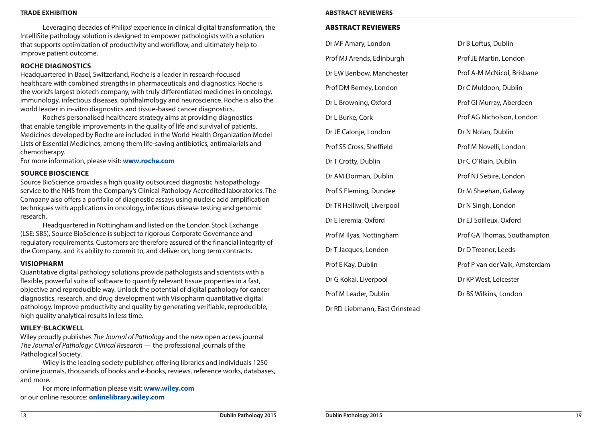Leveraging decades of Philips' experience in clinical digital transformation, the IntelliSite pathology solution is designed to empower pathologists with a solution that supports optimization of productivity and workflow, and ultimately help to improve patient outcome.

### **Roche Diagnostics**

Headquartered in Basel, Switzerland, Roche is a leader in research-focused healthcare with combined strengths in pharmaceuticals and diagnostics. Roche is the world's largest biotech company, with truly differentiated medicines in oncology, immunology, infectious diseases, ophthalmology and neuroscience. Roche is also the world leader in in-vitro diagnostics and tissue-based cancer diagnostics.

Roche's personalised healthcare strategy aims at providing diagnostics that enable tangible improvements in the quality of life and survival of patients. Medicines developed by Roche are included in the World Health Organization Model Lists of Essential Medicines, among them life-saving antibiotics, antimalarials and chemotherapy.

For more information, please visit: **[www.roche.com](http://www.roche.com)**

### **Source Bioscience**

Source BioScience provides a high quality outsourced diagnostic histopathology service to the NHS from the Company's Clinical Pathology Accredited laboratories. The Company also offers a portfolio of diagnostic assays using nucleic acid amplification techniques with applications in oncology, infectious disease testing and genomic research.

Headquartered in Nottingham and listed on the London Stock Exchange (LSE: SBS), Source BioScience is subject to rigorous Corporate Governance and regulatory requirements. Customers are therefore assured of the financial integrity of the Company, and its ability to commit to, and deliver on, long term contracts.

### **Visiopharm**

Quantitative digital pathology solutions provide pathologists and scientists with a flexible, powerful suite of software to quantify relevant tissue properties in a fast, objective and reproducible way. Unlock the potential of digital pathology for cancer diagnostics, research, and drug development with Visiopharm quantitative digital pathology. Improve productivity and quality by generating verifiable, reproducible, high quality analytical results in less time.

### **Wiley-Blackwell**

Wiley proudly publishes *The Journal of Pathology* and the new open access journal *The Journal of Pathology: Clinical Research* — the professional journals of the Pathological Society.

Wiley is the leading society publisher, offering libraries and individuals 1250 online journals, thousands of books and e-books, reviews, reference works, databases, and more.

For more information please visit: **[www.wiley.com](http://www.wiley.com)** or our online resource: **<onlinelibrary.wiley.com>**

#### **Trade Exhibition Abstract Reviewers**

### Abstract Reviewers

Dr MF Amary, London

Prof MJ Arends, Edinburgh

Dr EW Benbow, Manchester

Prof DM Berney, London

Dr L Browning, Oxford

Dr L Burke, Cork

Dr JE Calonje, London

Prof SS Cross, Sheffield

Dr T Crotty, Dublin

Dr AM Dorman, Dublin

Prof S Fleming, Dundee

Dr TR Helliwell, Liverpool

Dr E Ieremia, Oxford

Prof M Ilyas, Nottingham

Dr T Jacques, London

Prof E Kay, Dublin

Dr G Kokai, Liverpool

Prof M Leader, Dublin

Dr RD Liebmann, East Grinstead

Dr B Loftus, Dublin Prof JE Martin, London Prof A-M McNicol, Brisbane Dr C Muldoon, Dublin Prof GI Murray, Aberdeen Prof AG Nicholson, London Dr N Nolan, Dublin Prof M Novelli, London Dr C O'Riain, Dublin Prof NJ Sebire, London Dr M Sheehan, Galway Dr N Singh, London Dr EJ Soilleux, Oxford Prof GA Thomas, Southampton Dr D Treanor, Leeds Prof P van der Valk, Amsterdam Dr KP West, Leicester Dr BS Wilkins, London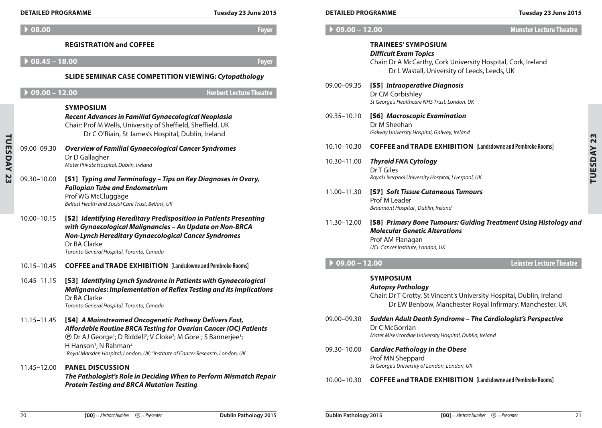|                | <b>DETAILED PROGRAMME</b>  | Tuesday 23 June 2015                                                                                                                                                                                                                                                                                                   | <b>DETAILED PROGRAMME</b>  |                                                                                                                                                                                     | Tuesday 23 June 2015            |
|----------------|----------------------------|------------------------------------------------------------------------------------------------------------------------------------------------------------------------------------------------------------------------------------------------------------------------------------------------------------------------|----------------------------|-------------------------------------------------------------------------------------------------------------------------------------------------------------------------------------|---------------------------------|
|                | $\triangleright$ 08.00     | <b>Foyer</b>                                                                                                                                                                                                                                                                                                           | $09.00 - 12.00$            |                                                                                                                                                                                     | <b>Munster Lecture Theatre</b>  |
|                | $08.45 - 18.00$            | <b>REGISTRATION and COFFEE</b><br><b>Foyer</b><br>SLIDE SEMINAR CASE COMPETITION VIEWING: Cytopathology                                                                                                                                                                                                                |                            | <b>TRAINEES' SYMPOSIUM</b><br><b>Difficult Exam Topics</b><br>Chair: Dr A McCarthy, Cork University Hospital, Cork, Ireland<br>Dr L Wastall, University of Leeds, Leeds, UK         |                                 |
|                | $\overline{09.00} - 12.00$ | <b>Herbert Lecture Theatre</b><br><b>SYMPOSIUM</b>                                                                                                                                                                                                                                                                     | 09.00-09.35                | [S5] Intraoperative Diagnosis<br>Dr CM Corbishley<br>St George's Healthcare NHS Trust, London, UK                                                                                   |                                 |
|                |                            | Recent Advances in Familial Gynaecological Neoplasia<br>Chair: Prof M Wells, University of Sheffield, Sheffield, UK<br>Dr C O'Riain, St James's Hospital, Dublin, Ireland                                                                                                                                              | 09.35-10.10                | [S6] Macroscopic Examination<br>Dr M Sheehan<br>Galway University Hospital, Galway, Ireland                                                                                         |                                 |
|                | 09.00-09.30                | <b>Overview of Familial Gynaecological Cancer Syndromes</b>                                                                                                                                                                                                                                                            | 10.10-10.30                | <b>COFFEE and TRADE EXHIBITION</b> [Landsdowne and Pembroke Rooms]                                                                                                                  |                                 |
| <b>TUESDAY</b> |                            | Dr D Gallagher<br>Mater Private Hospital, Dublin, Ireland                                                                                                                                                                                                                                                              | 10.30-11.00                | <b>Thyroid FNA Cytology</b><br>Dr T Giles                                                                                                                                           |                                 |
| 23             | 09.30-10.00                | [S1] Typing and Terminology - Tips on Key Diagnoses in Ovary,<br><b>Fallopian Tube and Endometrium</b><br>Prof WG McCluggage<br>Belfast Health and Social Care Trust, Belfast, UK                                                                                                                                      | 11.00-11.30                | Royal Liverpool University Hospital, Liverpool, UK<br>[S7] Soft Tissue Cutaneous Tumours<br>Prof M Leader<br>Beaumont Hospital, Dublin, Ireland                                     |                                 |
|                | 10.00-10.15                | [S2] Identifying Hereditary Predisposition in Patients Presenting<br>with Gynaecological Malignancies - An Update on Non-BRCA<br>Non-Lynch Hereditary Gynaecological Cancer Syndromes<br>Dr BA Clarke<br>Toronto General Hospital, Toronto, Canada                                                                     | 11.30-12.00                | [S8] Primary Bone Tumours: Guiding Treatment Using Histology and<br><b>Molecular Genetic Alterations</b><br>Prof AM Flanagan<br>UCL Cancer Institute, London, UK                    |                                 |
|                | 10.15-10.45                | <b>COFFEE and TRADE EXHIBITION</b> [Landsdowne and Pembroke Rooms]                                                                                                                                                                                                                                                     | $09.00 - 12.00$            |                                                                                                                                                                                     | <b>Leinster Lecture Theatre</b> |
|                | 10.45–11.15                | [S3] Identifying Lynch Syndrome in Patients with Gynaecological<br><b>Malignancies: Implementation of Reflex Testing and its Implications</b><br>Dr BA Clarke<br>Toronto General Hospital, Toronto, Canada                                                                                                             |                            | <b>SYMPOSIUM</b><br><b>Autopsy Pathology</b><br>Chair: Dr T Crotty, St Vincent's University Hospital, Dublin, Ireland<br>Dr EW Benbow, Manchester Royal Infirmary, Manchester, UK   |                                 |
|                | 11.15–11.45                | [S4] A Mainstreamed Oncogenetic Pathway Delivers Fast,<br>Affordable Routine BRCA Testing for Ovarian Cancer (OC) Patients<br><b>(D)</b> Dr AJ George <sup>1</sup> ; D Riddell <sup>2</sup> ; V Cloke <sup>2</sup> ; M Gore <sup>1</sup> ; S Bannerjee <sup>1</sup> ;<br>H Hanson <sup>1</sup> ; N Rahman <sup>2</sup> | 09.00-09.30<br>09.30-10.00 | Sudden Adult Death Syndrome - The Cardiologist's Perspective<br>Dr C McGorrian<br>Mater Misericordiae University Hospital, Dublin, Ireland<br><b>Cardiac Pathology in the Obese</b> |                                 |
|                | 11.45-12.00                | <sup>1</sup> Royal Marsden Hospital, London, UK; <sup>2</sup> Institute of Cancer Research, London, UK<br><b>PANEL DISCUSSION</b>                                                                                                                                                                                      |                            | Prof MN Sheppard<br>St George's University of London, London, UK                                                                                                                    |                                 |
|                |                            | The Pathologist's Role in Deciding When to Perform Mismatch Repair                                                                                                                                                                                                                                                     | 10.00, 10.20               | COFFEE  J TRANE EVILINITION Illudidum  J Bushade Basic                                                                                                                              |                                 |

| <b>DETAILED PROGRAMME</b> |                                                                                                                                                                             | Tuesday 23 June 201            |
|---------------------------|-----------------------------------------------------------------------------------------------------------------------------------------------------------------------------|--------------------------------|
| $09.00 - 12.00$           |                                                                                                                                                                             | <b>Munster Lecture Theatre</b> |
|                           | <b>TRAINEES' SYMPOSIUM</b><br><b>Difficult Exam Topics</b><br>Chair: Dr A McCarthy, Cork University Hospital, Cork, Ireland<br>Dr L Wastall, University of Leeds, Leeds, UK |                                |
| 09.00-09.35               | [S5] Intraoperative Diagnosis<br>Dr CM Corbishley<br>St George's Healthcare NHS Trust, London, UK                                                                           |                                |
| 09.35-10.10               | [S6] Macroscopic Examination<br>Dr M Sheehan<br>Galway University Hospital, Galway, Ireland                                                                                 |                                |
| 10.10-10.30               | <b>COFFEE and TRADE EXHIBITION</b> [Landsdowne and Pembroke Rooms]                                                                                                          |                                |
| 10.30-11.00               | <b>Thyroid FNA Cytology</b><br>Dr T Giles<br>Royal Liverpool University Hospital, Liverpool, UK                                                                             |                                |
| 11.00-11.30               | <b>[S7] Soft Tissue Cutaneous Tumours</b><br>Prof M Leader<br>Beaumont Hospital, Dublin, Ireland                                                                            |                                |
| 11.30-12.00               | [S8] Primary Bone Tumours: Guiding Treatment Using Histology an<br>المثلوبية والمستقصد والمستراء والمسترات والمرارا                                                         |                                |

## 11.30–12.00 [S8] *Primary Bone Tumours: Guiding Treatment Using Histology and Molecular Genetic Alterations* Prof AM Flanagan *UCL Cancer Institute, London, UK*

## **Symposium**

#### *Autopsy Pathology*

- 09.00–09.30 *Sudden Adult Death Syndrome The Cardiologist's Perspective* Dr C McGorrian *Mater Misericordiae University Hospital, Dublin, Ireland*
- 09.30–10.00 *Cardiac Pathology in the Obese* Prof MN Sheppard *St George's University of London, London, UK*
- 10.00–10.30 **Coffee and Trade Exhibition [Landsdowne and Pembroke Rooms]**

*Protein Testing and Brca Mutation Testing*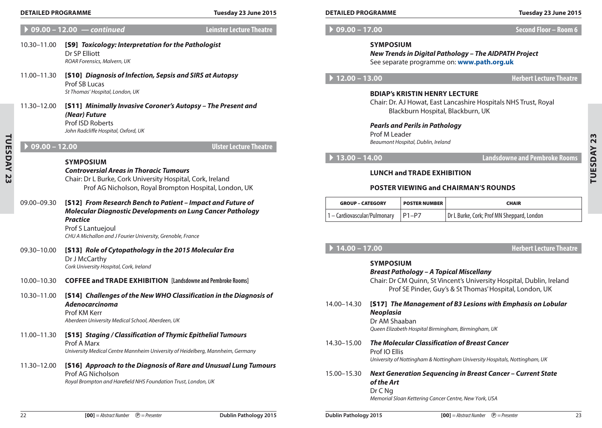| Tuesday 23 June 2015 |  |  |  |  |
|----------------------|--|--|--|--|
|----------------------|--|--|--|--|

A **09.00 – 12.00** *— continued* **Leinster Lecture Theatre** 10.30–11.00 [S9] *Toxicology: Interpretation for the Pathologist* Dr SP Elliott *ROAR Forensics, Malvern, UK* 11.00–11.30 [S10] *Diagnosis of Infection, Sepsis and SIRS at Autopsy* Prof SB Lucas *St Thomas' Hospital, London, UK* 11.30–12.00 [S11] *Minimally Invasive Coroner's Autopsy – The Present and (Near) Future*  Prof ISD Roberts *John Radcliffe Hospital, Oxford, UK* A **09.00 – 12.00 Ulster Lecture Theatre Symposium** *Controversial Areas in Thoracic Tumours* Chair: Dr L Burke, Cork University Hospital, Cork, Ireland Prof AG Nicholson, Royal Brompton Hospital, London, UK 09.00–09.30 [S12] *From Research Bench to Patient – Impact and Future of Molecular Diagnostic Developments on Lung Cancer Pathology Practice* Prof S Lantuejoul *CHU A Michallon and J Fourier University, Grenoble, France* 09.30–10.00 [S13] *Role of Cytopathology in the 2015 Molecular Era* Dr J McCarthy *Cork University Hospital, Cork, Ireland* 10.00–10.30 **Coffee and Trade Exhibition [Landsdowne and Pembroke Rooms]** 10.30–11.00 [S14] *Challenges of the New WHO Classification in the Diagnosis of Adenocarcinoma* Prof KM Kerr *Aberdeen University Medical School, Aberdeen, UK* 11.00–11.30 [S15] *Staging / Classification of Thymic Epithelial Tumours* Prof A Marx *University Medical Centre Mannheim University of Heidelberg, Mannheim, Germany* 11.30–12.00 [S16] *Approach to the Diagnosis of Rare and Unusual Lung Tumours* Prof AG Nicholson *Royal Brompton and Harefield NHS Foundation Trust, London, UK* **Detailed Programme Tuesday 23 June 2015 Detailed Programme Tuesday 23 June 2015**

A **09.00 – 17.00 Second Floor – Room 6**

#### **Symposium**

*New Trends in Digital Pathology – The AIDPATH Project* See separate programme on: **www.path.org.uk**

A **12.00 – 13.00 Herbert Lecture Theatre**

### **BDIAP's Kristin Henry Lecture**

Chair: Dr. AJ Howat, East Lancashire Hospitals NHS Trust, Royal Blackburn Hospital, Blackburn, UK

*Pearls and Perils in Pathology* Prof M Leader *Beaumont Hospital, Dublin, Ireland*

A **13.00 – 14.00 Landsdowne and Pembroke Rooms**

**Tuesday 23**

TUESDAY 23

## **Lunch and Trade Exhibition**

#### **Poster Viewing and Chairman's Rounds**

| <b>GROUP – CATEGORY</b>                    | <b>POSTER NUMBER</b> | <b>CHAIR</b>                               |
|--------------------------------------------|----------------------|--------------------------------------------|
| $1 -$ Cardiovascular/Pulmonary $ P1 - P7 $ |                      | Dr L Burke, Cork; Prof MN Sheppard, London |

A **14.00 – 17.00 Herbert Lecture Theatre**

|             | <b>SYMPOSIUM</b><br>Breast Pathology – A Topical Miscellany<br>Chair: Dr CM Quinn, St Vincent's University Hospital, Dublin, Ireland<br>Prof SE Pinder, Guy's & St Thomas' Hospital, London, UK |
|-------------|-------------------------------------------------------------------------------------------------------------------------------------------------------------------------------------------------|
| 14.00-14.30 | [S17] The Management of B3 Lesions with Emphasis on Lobular<br><b>Neoplasia</b><br>Dr AM Shaaban<br>Queen Elizabeth Hospital Birmingham, Birmingham, UK                                         |
| 14.30-15.00 | The Molecular Classification of Breast Cancer<br>Prof IO Ellis<br>University of Nottingham & Nottingham University Hospitals, Nottingham, UK                                                    |
| 15.00-15.30 | Next Generation Sequencing in Breast Cancer – Current State<br>of the Art<br>Dr C Ng<br>Memorial Sloan Kettering Cancer Centre, New York, USA                                                   |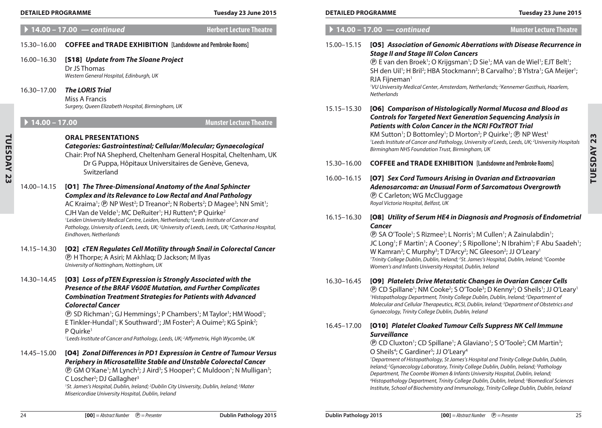| <b>DETAILED PROGRAMME</b>                 | Tuesday 23 June 2015                                                                                                                                                                                                                                                                                                                                                                                                                                                                                                                                                                                                                                    | <b>DETAILED PROGRAMME</b>  | Tuesday 23 June 2015                                                                                                                                                                                                                                                                                                                                                                                                                                                                                                                                                                                                                                                                                                                                     |
|-------------------------------------------|---------------------------------------------------------------------------------------------------------------------------------------------------------------------------------------------------------------------------------------------------------------------------------------------------------------------------------------------------------------------------------------------------------------------------------------------------------------------------------------------------------------------------------------------------------------------------------------------------------------------------------------------------------|----------------------------|----------------------------------------------------------------------------------------------------------------------------------------------------------------------------------------------------------------------------------------------------------------------------------------------------------------------------------------------------------------------------------------------------------------------------------------------------------------------------------------------------------------------------------------------------------------------------------------------------------------------------------------------------------------------------------------------------------------------------------------------------------|
|                                           | <b>Herbert Lecture Theatre</b><br>▶ 14.00 - 17.00 - continued                                                                                                                                                                                                                                                                                                                                                                                                                                                                                                                                                                                           |                            | $\blacktriangleright$ 14.00 - 17.00 $-$ continued<br><b>Munster Lecture Theatre</b>                                                                                                                                                                                                                                                                                                                                                                                                                                                                                                                                                                                                                                                                      |
| 15.30–16.00<br>16.00-16.30<br>16.30-17.00 | <b>COFFEE and TRADE EXHIBITION</b> [Landsdowne and Pembroke Rooms]<br>[S18] Update from The Sloane Project<br>Dr JS Thomas<br>Western General Hospital, Edinburgh, UK<br><b>The LORIS Trial</b><br>Miss A Francis                                                                                                                                                                                                                                                                                                                                                                                                                                       | 15.00-15.15                | [05] Association of Genomic Aberrations with Disease Recurrence in<br><b>Stage II and Stage III Colon Cancers</b><br>(D) E van den Broek <sup>1</sup> ; O Krijgsman <sup>1</sup> ; D Sie <sup>1</sup> ; MA van de Wiel <sup>1</sup> ; EJT Belt <sup>1</sup> ;<br>SH den Uil <sup>1</sup> ; H Bril <sup>2</sup> ; HBA Stockmann <sup>2</sup> ; B Carvalho <sup>1</sup> ; B Ylstra <sup>1</sup> ; GA Meijer <sup>1</sup> ;<br>RJA Fijneman <sup>1</sup><br><sup>1</sup> VU University Medical Center, Amsterdam, Netherlands; <sup>2</sup> Kennemer Gasthuis, Haarlem,<br>Netherlands                                                                                                                                                                      |
| ▶ $14.00 - 17.00$                         | Surgery, Queen Elizabeth Hospital, Birmingham, UK<br><b>Munster Lecture Theatre</b><br><b>ORAL PRESENTATIONS</b><br>Categories: Gastrointestinal; Cellular/Molecular; Gynaecological<br>Chair: Prof NA Shepherd, Cheltenham General Hospital, Cheltenham, UK                                                                                                                                                                                                                                                                                                                                                                                            | 15.15-15.30                | [O6] Comparison of Histologically Normal Mucosa and Blood as<br><b>Controls for Targeted Next Generation Sequencing Analysis in</b><br><b>Patients with Colon Cancer in the NCRI FOxTROT Trial</b><br>KM Sutton <sup>1</sup> ; D Bottomley <sup>1</sup> ; D Morton <sup>2</sup> ; P Quirke <sup>1</sup> ; <b>@ NP West<sup>1</sup></b><br><sup>1</sup> Leeds Institute of Cancer and Pathology, University of Leeds, Leeds, UK; <sup>2</sup> University Hospitals<br>Birmingham NHS Foundation Trust, Birmingham, UK                                                                                                                                                                                                                                     |
| 14.00–14.15                               | Dr G Puppa, Hôpitaux Universitaires de Genève, Geneva,<br>Switzerland<br>[01] The Three-Dimensional Anatomy of the Anal Sphincter<br><b>Complex and its Relevance to Low Rectal and Anal Pathology</b><br>AC Kraima <sup>1</sup> ; $\circledR$ NP West <sup>2</sup> ; D Treanor <sup>2</sup> ; N Roberts <sup>2</sup> ; D Magee <sup>3</sup> ; NN Smit <sup>1</sup> ;                                                                                                                                                                                                                                                                                   | 15.30–16.00<br>16.00-16.15 | <b>COFFEE and TRADE EXHIBITION</b> [Landsdowne and Pembroke Rooms]<br>[07] Sex Cord Tumours Arising in Ovarian and Extraovarian<br>Adenosarcoma: an Unusual Form of Sarcomatous Overgrowth<br><b><i>®</i></b> C Carleton; WG McCluggage<br>Royal Victoria Hospital, Belfast, UK                                                                                                                                                                                                                                                                                                                                                                                                                                                                          |
| 14.15–14.30                               | CJH Van de Velde <sup>1</sup> ; MC DeRuiter <sup>1</sup> ; HJ Rutten <sup>4</sup> ; P Quirke <sup>2</sup><br><sup>1</sup> Leiden University Medical Centre, Leiden, Netherlands; <sup>2</sup> Leeds Institute of Cancer and<br>Pathology, University of Leeds, Leeds, UK; <sup>3</sup> University of Leeds, Leeds, UK; <sup>4</sup> Catharina Hospital,<br>Eindhoven, Netherlands<br>[02] cTEN Regulates Cell Motility through Snail in Colorectal Cancer<br><b><i>®</i></b> H Thorpe; A Asiri; M Akhlaq; D Jackson; M Ilyas<br>University of Nottingham, Nottingham, UK                                                                                | 16.15-16.30                | [O8] Utility of Serum HE4 in Diagnosis and Prognosis of Endometrial<br><b>Cancer</b><br><b><i>(D)</i></b> SA O'Toole <sup>1</sup> ; S Rizmee <sup>2</sup> ; L Norris <sup>1</sup> ; M Cullen <sup>1</sup> ; A Zainulabdin <sup>1</sup> ;<br>JC Long <sup>1</sup> ; F Martin <sup>1</sup> ; A Cooney <sup>1</sup> ; S Ripollone <sup>1</sup> ; N Ibrahim <sup>1</sup> ; F Abu Saadeh <sup>1</sup> ;<br>W Kamran <sup>2</sup> ; C Murphy <sup>3</sup> ; T D'Arcy <sup>2</sup> ; NC Gleeson <sup>2</sup> ; JJ O'Leary <sup>1</sup><br><sup>1</sup> Trinity College Dublin, Dublin, Ireland; <sup>2</sup> St. James's Hospital, Dublin, Ireland; <sup>3</sup> Coombe<br>Women's and Infants University Hospital, Dublin, Ireland                             |
| 14.30-14.45                               | [O3] Loss of pTEN Expression is Strongly Associated with the<br>Presence of the BRAF V600E Mutation, and Further Complicates<br><b>Combination Treatment Strategies for Patients with Advanced</b><br><b>Colorectal Cancer</b><br><b>(B)</b> SD Richman <sup>1</sup> ; GJ Hemmings <sup>1</sup> ; P Chambers <sup>1</sup> ; M Taylor <sup>1</sup> ; HM Wood <sup>1</sup> ;<br>E Tinkler-Hundal <sup>1</sup> ; K Southward <sup>1</sup> ; JM Foster <sup>2</sup> ; A Ouime <sup>2</sup> ; KG Spink <sup>2</sup> ;<br>P Quirke <sup>1</sup><br><sup>1</sup> Leeds Institute of Cancer and Pathology, Leeds, UK; <sup>2</sup> Affymetrix, High Wycombe, UK | 16.30-16.45<br>16.45-17.00 | [09] Platelets Drive Metastatic Changes in Ovarian Cancer Cells<br><b><i>(D)</i></b> CD Spillane <sup>1</sup> ; NM Cooke <sup>2</sup> ; S O'Toole <sup>3</sup> ; D Kenny <sup>2</sup> ; O Sheils <sup>1</sup> ; JJ O'Leary <sup>1</sup><br><sup>1</sup> Histopathology Department, Trinity College Dublin, Dublin, Ireland; <sup>2</sup> Department of<br>Molecular and Cellular Therapeutics, RCSI, Dublin, Ireland; <sup>3</sup> Department of Obstetrics and<br>Gynaecology, Trinity College Dublin, Dublin, Ireland<br>[010] Platelet Cloaked Tumour Cells Suppress NK Cell Immune<br><b>Surveillance</b>                                                                                                                                            |
| 14.45–15.00                               | [04] Zonal Differences in PD1 Expression in Centre of Tumour Versus<br>Periphery in Microsatellite Stable and Unstable Colorectal Cancer<br><b><i>@ GM O'Kane'; M Lynch'; J Aird''; S Hooper''; C Muldoon'; N Mulligan'';</i></b><br>C Loscher <sup>2</sup> ; DJ Gallagher <sup>3</sup><br><sup>1</sup> St. James's Hospital, Dublin, Ireland; <sup>2</sup> Dublin City University, Dublin, Ireland; <sup>3</sup> Mater                                                                                                                                                                                                                                 |                            | <b><i>(B)</i></b> CD Cluxton <sup>1</sup> ; CD Spillane <sup>1</sup> ; A Glaviano <sup>1</sup> ; S O'Toole <sup>2</sup> ; CM Martin <sup>3</sup> ;<br>O Sheils <sup>4</sup> ; C Gardiner <sup>5</sup> ; JJ O'Leary <sup>4</sup><br><sup>1</sup> Department of Histopathology, St James's Hospital and Trinity College Dublin, Dublin,<br>Ireland; <sup>2</sup> Gynaecology Laboratory, Trinity College Dublin, Dublin, Ireland; <sup>3</sup> Pathology<br>Department, The Coombe Women & Infants University Hospital, Dublin, Ireland;<br><sup>4</sup> Histopathology Department, Trinity College Dublin, Dublin, Ireland; <sup>5</sup> Biomedical Sciences<br>Institute, School of Biochemistry and Immunology, Trinity College Dublin, Dublin, Ireland |

| $\blacktriangleright$ 14.00 – 17.00 | $\mathcal{L}$ continued |
|-------------------------------------|-------------------------|
|-------------------------------------|-------------------------|

#### 15.30–16.00 **Coffee and Trade Exhibition [Landsdowne and Pembroke Rooms]**

#### 16.00–16.30 [S18] *Update from The Sloane Project* Dr JS Thomas *Western General Hospital, Edinburgh, UK*

#### 16.30–17.00 *The LORIS Trial*

## A **14.00 – 17.00 Munster Lecture Theatre**

#### **Oral Presentations**

- 14.00–14.15 [O1] *The Three-Dimensional Anatomy of the Anal Sphincter Complex and its Relevance to Low Rectal and Anal Pathology* AC Kraima<sup>1</sup>; **@** NP West<sup>2</sup>; D Treanor<sup>2</sup>; N Roberts<sup>2</sup>; D Magee<sup>3</sup>; NN Smit<sup>1</sup>; CJH Van de Velde<sup>1</sup>; MC DeRuiter<sup>1</sup>; HJ Rutten<sup>4</sup>; P Quirke<sup>2</sup> *1 Leiden University Medical Centre, Leiden, Netherlands; 2 Leeds Institute of Cancer and*  Pathology, University of Leeds, Leeds, UK;<sup>3</sup>University of Leeds, Leeds, UK;<sup>4</sup>Catharina Hospital, *Eindhoven, Netherlands*
- 14.15–14.30 [O2] *cten Regulates Cell Motility through Snail in Colorectal Cancer* P H Thorpe; A Asiri; M Akhlaq; D Jackson; M Ilyas *University of Nottingham, Nottingham, UK*
- 14.30–14.45 [O3] *Loss of pTEN Expression is Strongly Associated with the Presence of the BRAF V600E Mutation, and Further Complicates Combination Treatment Strategies for Patients with Advanced Colorectal Cancer*

<sup>1</sup>St. James's Hospital, Dublin, Ireland; <sup>2</sup>Dublin City University, Dublin, Ireland; <sup>3</sup>Mater *Misericordiae University Hospital, Dublin, Ireland*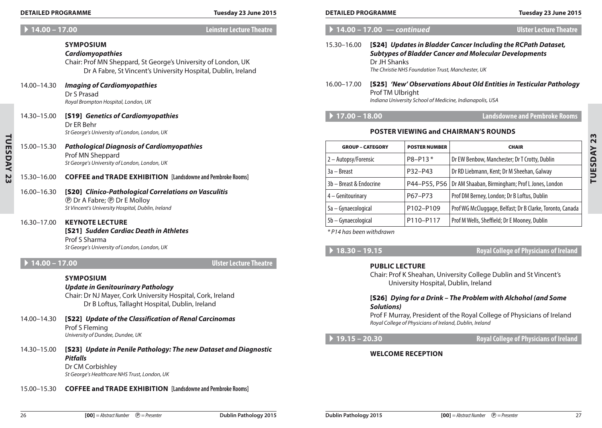#### A **14.00 – 17.00 Leinster Lecture Theatre**

## **Symposium** *Cardiomyopathies* Chair: Prof MN Sheppard, St George's University of London, UK Dr A Fabre, St Vincent's University Hospital, Dublin, Ireland

## 14.00–14.30 *Imaging of Cardiomyopathies*

Dr S Prasad *Royal Brompton Hospital, London, UK*

- 14.30–15.00 [S19] *Genetics of Cardiomyopathies* Dr ER Behr *St George's University of London, London, UK*
- 15.00–15.30 *Pathological Diagnosis of Cardiomyopathies* Prof MN Sheppard *St George's University of London, London, UK*

## 15.30–16.00 **Coffee and Trade Exhibition [Landsdowne and Pembroke Rooms]**

### 16.00–16.30 [S20] *Clinico-Pathological Correlations on Vasculitis* **P** Dr A Fabre; **P** Dr E Molloy *St Vincent's University Hospital, Dublin, Ireland*

16.30–17.00 **Keynote Lecture** [S21] *Sudden Cardiac Death in Athletes* Prof S Sharma *St George's University of London, London, UK*

**Tuesday 23**

<u>ស្គ</u>

TUESDAY

## A **14.00 – 17.00 Ulster Lecture Theatre**

#### **Symposium**

*Update in Genitourinary Pathology* Chair: Dr NJ Mayer, Cork University Hospital, Cork, Ireland Dr B Loftus, Tallaght Hospital, Dublin, Ireland

- 14.00–14.30 [S22] *Update of the Classification of Renal Carcinomas* Prof S Fleming *University of Dundee, Dundee, UK*
- 14.30–15.00 [S23] *Update in Penile Pathology: The new Dataset and Diagnostic Pitfalls* Dr CM Corbishley

*St George's Healthcare NHS Trust, London, UK*

15.00–15.30 **Coffee and Trade Exhibition [Landsdowne and Pembroke Rooms]**

#### A **14.00 – 17.00** *— continued* **Ulster Lecture Theatre**

### 15.30–16.00 [S24] *Updates in Bladder Cancer Including the RCPath Dataset, Subtypes of Bladder Cancer and Molecular Developments*  Dr JH Shanks *The Christie NHS Foundation Trust, Manchester, UK*

#### 16.00–17.00 [S25] *'New' Observations About Old Entities in Testicular Pathology* Prof TM Ulbright *Indiana University School of Medicine, Indianapolis, USA*

## A **17.00 – 18.00 Landsdowne and Pembroke Rooms**

#### **Poster Viewing and Chairman's Rounds**

| <b>GROUP - CATEGORY</b> | <b>POSTER NUMBER</b> | <b>CHAIR</b>                                                   |
|-------------------------|----------------------|----------------------------------------------------------------|
| 2 – Autopsy/Forensic    | P8-P13*              | Dr EW Benbow, Manchester; Dr T Crotty, Dublin                  |
| $3a - B$ reast          | P32-P43              | Dr RD Liebmann, Kent; Dr M Sheehan, Galway                     |
| 3b - Breast & Endocrine |                      | P44-P55, P56   Dr AM Shaaban, Birmingham; Prof L Jones, London |
| 4 - Genitourinary       | P67-P73              | Prof DM Berney, London; Dr B Loftus, Dublin                    |
| 5a - Gynaecological     | P102-P109            | Prof WG McCluggage, Belfast; Dr B Clarke, Toronto, Canada      |
| 5b - Gynaecological     | P110-P117            | Prof M Wells, Sheffield; Dr E Mooney, Dublin                   |

*\* P14 has been withdrawn*

## A **18.30 – 19.15 Royal College of Physicians of Ireland**

## **Public Lecture**

Chair: Prof K Sheahan, University College Dublin and St Vincent's University Hospital, Dublin, Ireland

### [S26] *Dying for a Drink – The Problem with Alchohol (and Some Solutions)*

Prof F Murray, President of the Royal College of Physicians of Ireland *Royal College of Physicians of Ireland, Dublin, Ireland*

A **19.15 – 20.30 Royal College of Physicians of Ireland**

### **Welcome Reception**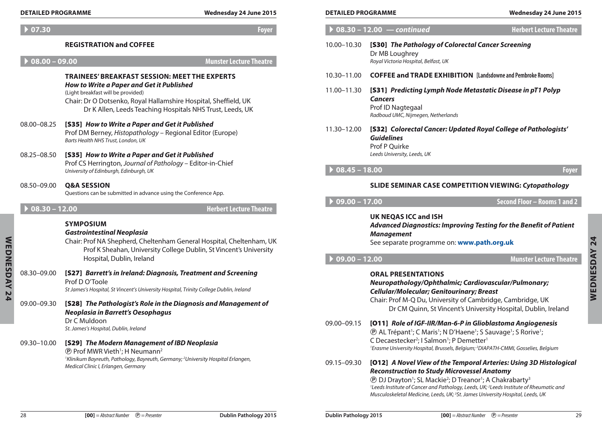| $\triangleright$ 07.30 | <b>Foyer</b> |
|------------------------|--------------|
|------------------------|--------------|

### **Registration and coffee**

A **08.00 – 09.00 Munster Lecture Theatre**

#### **Trainees' Breakfast Session: Meet The Experts** *How to Write a Paper and Get it Published*

(Light breakfast will be provided)

Chair: Dr O Dotsenko, Royal Hallamshire Hospital, Sheffield, UK Dr K Allen, Leeds Teaching Hospitals NHS Trust, Leeds, UK

- 08.00–08.25 [S35] *How to Write a Paper and Get it Published* Prof DM Berney, *Histopathology* – Regional Editor (Europe) *Barts Health NHS Trust, London, UK*
- 08.25–08.50 [S35] *How to Write a Paper and Get it Published* Prof CS Herrington, *Journal of Pathology* – Editor-in-Chief *University of Edinburgh, Edinburgh, UK*
- 08.50–09.00 **Q&A Session** Questions can be submitted in advance using the Conference App.

A **08.30 – 12.00 Herbert Lecture Theatre**

## **Symposium**

#### *Gastrointestinal Neoplasia*

Chair: Prof NA Shepherd, Cheltenham General Hospital, Cheltenham, UK Prof K Sheahan, University College Dublin, St Vincent's University Hospital, Dublin, Ireland

08.30–09.00 [S27] *Barrett's in Ireland: Diagnosis, Treatment and Screening* Prof D O'Toole

*St James's Hospital, St Vincent's University Hospital, Trinity College Dublin, Ireland*

09.00–09.30 [S28] *The Pathologist's Role in the Diagnosis and Management of Neoplasia in Barrett's Oesophagus* Dr C Muldoon

*St. James's Hospital, Dublin, Ireland*

### 09.30–10.00 [S29] *The Modern Management of IBD Neoplasia*  $\textcircled{P}$  Prof MWR Vieth<sup>1</sup>; H Neumann<sup>2</sup> *1 Klinikum Bayreuth, Pathology, Bayreuth, Germany; 2 University Hospital Erlangen,*

*Medical Clinic I, Erlangen, Germany*

|                 | $08.30 - 12.00 - \text{continued}$                                                                                                                                                                                                                                                                                                                                                                  | <b>Herbert Lecture Theatre</b>      |
|-----------------|-----------------------------------------------------------------------------------------------------------------------------------------------------------------------------------------------------------------------------------------------------------------------------------------------------------------------------------------------------------------------------------------------------|-------------------------------------|
| 10.00-10.30     | [S30] The Pathology of Colorectal Cancer Screening<br>Dr MB Loughrey<br>Royal Victoria Hospital, Belfast, UK                                                                                                                                                                                                                                                                                        |                                     |
| 10.30-11.00     | <b>COFFEE and TRADE EXHIBITION</b> [Landsdowne and Pembroke Rooms]                                                                                                                                                                                                                                                                                                                                  |                                     |
| 11.00-11.30     | [S31] Predicting Lymph Node Metastatic Disease in pT1 Polyp<br><b>Cancers</b><br>Prof ID Nagtegaal<br>Radboud UMC, Nijmegen, Netherlands                                                                                                                                                                                                                                                            |                                     |
| 11.30–12.00     | [S32] Colorectal Cancer: Updated Royal College of Pathologists'<br><b>Guidelines</b><br>Prof P Quirke<br>Leeds University, Leeds, UK                                                                                                                                                                                                                                                                |                                     |
| $08.45 - 18.00$ |                                                                                                                                                                                                                                                                                                                                                                                                     | <b>Foyer</b>                        |
|                 | <b>SLIDE SEMINAR CASE COMPETITION VIEWING: Cytopathology</b>                                                                                                                                                                                                                                                                                                                                        |                                     |
|                 |                                                                                                                                                                                                                                                                                                                                                                                                     |                                     |
| $09.00 - 17.00$ |                                                                                                                                                                                                                                                                                                                                                                                                     | <b>Second Floor - Rooms 1 and 2</b> |
|                 | <b>UK NEQAS ICC and ISH</b><br><b>Advanced Diagnostics: Improving Testing for the Benefit of Patient</b><br><b>Management</b><br>See separate programme on: www.path.org.uk                                                                                                                                                                                                                         |                                     |
| $09.00 - 12.00$ |                                                                                                                                                                                                                                                                                                                                                                                                     | <b>Munster Lecture Theatre</b>      |
|                 | <b>ORAL PRESENTATIONS</b><br>Neuropathology/Ophthalmic; Cardiovascular/Pulmonary;<br>Cellular/Molecular; Genitourinary; Breast<br>Chair: Prof M-Q Du, University of Cambridge, Cambridge, UK<br>Dr CM Quinn, St Vincent's University Hospital, Dublin, Ireland                                                                                                                                      |                                     |
| 09.00-09.15     | [011] Role of IGF-IIR/Man-6-P in Glioblastoma Angiogenesis<br><b><i><b>@</b></i> AL Trépant<sup>1</sup>; C Maris<sup>1</sup>; N D'Haene<sup>1</sup>; S Sauvage<sup>1</sup>; S Rorive<sup>1</sup>;</b><br>C Decaestecker <sup>2</sup> ; I Salmon <sup>1</sup> ; P Demetter <sup>1</sup><br><sup>1</sup> Erasme University Hospital, Brussels, Belgium; <sup>2</sup> DIAPATH-CMMI, Gosselies, Belgium |                                     |

*Reconstruction to Study Microvessel Anatomy*

**(B)** DJ Drayton<sup>1</sup>; SL Mackie<sup>2</sup>; D Treanor<sup>1</sup>; A Chakrabarty<sup>3</sup> <sup>1</sup> Leeds Institute of Cancer and Pathology, Leeds, UK; <sup>2</sup> Leeds Institute of Rheumatic and *Musculoskeletal Medicine, Leeds, UK; 3 St. James University Hospital, Leeds, UK*

**Wednesday 24**

WEDNESDAY 24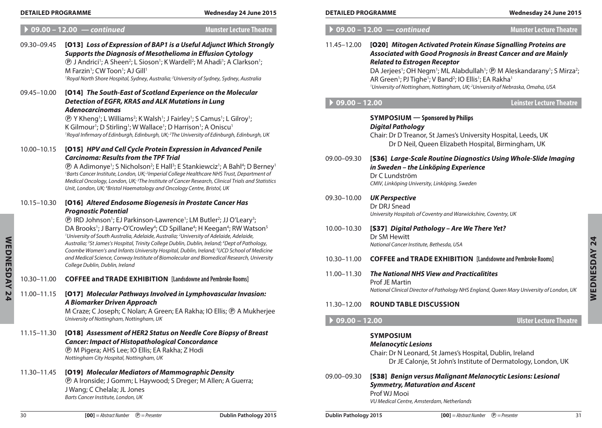#### **Detailed Programme Wednesday 24 June 2015 Detailed Programme Wednesday 24 June 2015**

## A **09.00 – 12.00** *— continued* **Munster Lecture Theatre**

| ngly                                                                 | 11.45-12.00     | [020] Mitogen Activated Protein Kinase Signalling Proteins are<br>Associated with Good Prognosis in Breast Cancer and are Mainly                                                                                                                                             |  |  |
|----------------------------------------------------------------------|-----------------|------------------------------------------------------------------------------------------------------------------------------------------------------------------------------------------------------------------------------------------------------------------------------|--|--|
| ۱.                                                                   |                 | <b>Related to Estrogen Receptor</b>                                                                                                                                                                                                                                          |  |  |
| $\overline{a}$                                                       |                 | DA Jerjees <sup>1</sup> ; OH Negm <sup>1</sup> ; ML Alabdullah <sup>1</sup> ; $\textcircled{P}$ M Aleskandarany <sup>1</sup> ; S Mirza <sup>2</sup> ;<br>AR Green <sup>1</sup> ; PJ Tighe <sup>1</sup> ; V Band <sup>2</sup> ; IO Ellis <sup>1</sup> ; EA Rakha <sup>1</sup> |  |  |
|                                                                      |                 | <sup>1</sup> University of Nottingham, Nottingham, UK; <sup>2</sup> University of Nebraska, Omaha, USA                                                                                                                                                                       |  |  |
|                                                                      | $09.00 - 12.00$ | <b>Leinster Lecture Theatre</b>                                                                                                                                                                                                                                              |  |  |
| 1, UK<br>5                                                           |                 | <b>SYMPOSIUM</b> - Sponsored by Philips<br><b>Digital Pathology</b><br>Chair: Dr D Treanor, St James's University Hospital, Leeds, UK<br>Dr D Neil, Queen Elizabeth Hospital, Birmingham, UK                                                                                 |  |  |
| $\mathsf{r}$ ney $^{\text{\tiny{\textsf{1}}}}$<br>nt of<br>atistics: | 09.00-09.30     | [S36] Large-Scale Routine Diagnostics Using Whole-Slide Imaging<br>in Sweden - the Linköping Experience<br>Dr C Lundström<br>CMIV, Linköping University, Linköping, Sweden                                                                                                   |  |  |
|                                                                      | 09.30-10.00     | <b>UK Perspective</b><br>Dr DRJ Snead<br>University Hospitals of Coventry and Warwickshire, Coventry, UK                                                                                                                                                                     |  |  |
| วท $^5$<br>ŋу,<br>dicine                                             | 10.00-10.30     | [S37] Digital Pathology - Are We There Yet?<br>Dr SM Hewitt<br>National Cancer Institute, Bethesda, USA                                                                                                                                                                      |  |  |
| rersity                                                              | 10.30-11.00     | <b>COFFEE and TRADE EXHIBITION</b> [Landsdowne and Pembroke Rooms]                                                                                                                                                                                                           |  |  |
|                                                                      | 11.00-11.30     | <b>The National NHS View and Practicalitites</b><br><b>Prof JE Martin</b><br>National Clinical Director of Pathology NHS England, Queen Mary University of London, UK                                                                                                        |  |  |
| n:                                                                   |                 | <b>ROUND TABLE DISCUSSION</b>                                                                                                                                                                                                                                                |  |  |
| erjee                                                                | 11.30-12.00     |                                                                                                                                                                                                                                                                              |  |  |
|                                                                      | $09.00 - 12.00$ | <b>Ulster Lecture Theatre</b>                                                                                                                                                                                                                                                |  |  |
| ast                                                                  |                 | <b>SYMPOSIUM</b><br><b>Melanocytic Lesions</b><br>Chair: Dr N Leonard, St James's Hospital, Dublin, Ireland<br>Dr JE Calonje, St John's Institute of Dermatology, London, UK                                                                                                 |  |  |
|                                                                      | 09.00-09.30     | [S38] Benign versus Malignant Melanocytic Lesions: Lesional                                                                                                                                                                                                                  |  |  |

*Symmetry, Maturation and Ascent* 

Prof WJ Mooi

*VU Medical Centre, Amsterdam, Netherlands*

**Wednesday 24**

**WEDNESDAY 24** 

## A **09.00 – 12.00** *— continued* **Munster Lecture Theatre**

| 09.30-09.45 | [013] Loss of Expression of BAP1 is a Useful Adjunct Which Strongly<br><b>Supports the Diagnosis of Mesothelioma in Effusion Cytology</b><br><b><i>@ J Andrici<sup>1</sup>; A Sheen<sup>2</sup>; L Sioson<sup>1</sup>; K Wardell<sup>2</sup>; M Ahadi<sup>1</sup>; A Clarkson<sup>1</sup>;</i></b><br>M Farzin <sup>1</sup> ; CW Toon <sup>1</sup> ; AJ Gill <sup>1</sup><br><sup>1</sup> Royal North Shore Hospital, Sydney, Australia; <sup>2</sup> University of Sydney, Sydney, Australia                                                                                                                                                                                                                                                                                                                                                       |
|-------------|-----------------------------------------------------------------------------------------------------------------------------------------------------------------------------------------------------------------------------------------------------------------------------------------------------------------------------------------------------------------------------------------------------------------------------------------------------------------------------------------------------------------------------------------------------------------------------------------------------------------------------------------------------------------------------------------------------------------------------------------------------------------------------------------------------------------------------------------------------|
| 09.45-10.00 | [014] The South-East of Scotland Experience on the Molecular<br><b>Detection of EGFR, KRAS and ALK Mutations in Lung</b><br><b>Adenocarcinomas</b><br><b><i>T</i></b> Y Kheng <sup>1</sup> ; L Williams <sup>2</sup> ; K Walsh <sup>1</sup> ; J Fairley <sup>1</sup> ; S Camus <sup>1</sup> ; L Gilroy <sup>1</sup> ;<br>K Gilmour <sup>1</sup> ; D Stirling <sup>1</sup> ; W Wallace <sup>1</sup> ; D Harrison <sup>1</sup> ; A Oniscu <sup>1</sup><br><sup>1</sup> Royal Infirmary of Edinburgh, Edinburgh, UK; <sup>2</sup> The University of Edinburgh, Edinburgh, UK                                                                                                                                                                                                                                                                           |
| 10.00-10.15 | [015] HPV and Cell Cycle Protein Expression in Advanced Penile<br><b>Carcinoma: Results from the TPF Trial</b><br><b><i><b>@</b></i> A Adimonye<sup>1</sup>; S Nicholson<sup>2</sup>; E Hall<sup>3</sup>; E Stankiewciz<sup>1</sup>; A Bahl<sup>4</sup>; D Berney<sup>1</sup></b><br><sup>1</sup> Barts Cancer Institute, London, UK; <sup>2</sup> Imperial College Healthcare NHS Trust, Department of<br>Medical Oncology, London, UK; <sup>3</sup> The Institute of Cancer Research, Clinical Trials and Statistics<br>Unit, London, UK; <sup>4</sup> Bristol Haematology and Oncology Centre, Bristol, UK                                                                                                                                                                                                                                       |
| 10.15-10.30 | [016] Altered Endosome Biogenesis in Prostate Cancer Has<br><b>Prognostic Potential</b><br><b>(D)</b> IRD Johnson <sup>1</sup> ; EJ Parkinson-Lawrence <sup>1</sup> ; LM Butler <sup>2</sup> ; JJ O'Leary <sup>3</sup> ;<br>DA Brooks <sup>1</sup> ; J Barry-O'Crowley <sup>4</sup> ; CD Spillane <sup>4</sup> ; H Keegan <sup>4</sup> ; RW Watson <sup>5</sup><br><sup>1</sup> University of South Australia, Adelaide, Australia; <sup>2</sup> University of Adelaide, Adelaide,<br>Australia; <sup>3</sup> St James's Hospital, Trinity College Dublin, Dublin, Ireland; <sup>4</sup> Dept of Pathology,<br>Coombe Women's and Infants University Hospital, Dublin, Ireland; <sup>5</sup> UCD School of Medicine<br>and Medical Science, Conway Institute of Biomolecular and Biomedical Research, University<br>College Dublin, Dublin, Ireland |
| 10.30-11.00 | <b>COFFEE and TRADE EXHIBITION</b> [Landsdowne and Pembroke Rooms]                                                                                                                                                                                                                                                                                                                                                                                                                                                                                                                                                                                                                                                                                                                                                                                  |
| 11.00-11.15 | [017] Molecular Pathways Involved in Lymphovascular Invasion:<br>A Biomarker Driven Approach<br>M Craze; C Joseph; C Nolan; A Green; EA Rakha; IO Ellis; ® A Mukherjee<br>University of Nottingham, Nottingham, UK                                                                                                                                                                                                                                                                                                                                                                                                                                                                                                                                                                                                                                  |
| 11.15-11.30 | [018] Assessment of HER2 Status on Needle Core Biopsy of Breast<br><b>Cancer: Impact of Histopathological Concordance</b><br><b>D</b> M Pigera; AHS Lee; IO Ellis; EA Rakha; Z Hodi<br>Nottingham City Hospital, Nottingham, UK                                                                                                                                                                                                                                                                                                                                                                                                                                                                                                                                                                                                                     |
| 11.30-11.45 | [019] Molecular Mediators of Mammographic Density<br><b><i>®</i></b> A Ironside; J Gomm; L Haywood; S Dreger; M Allen; A Guerra;<br>J Wang; C Chelala; JL Jones<br>Barts Cancer Institute, London, UK                                                                                                                                                                                                                                                                                                                                                                                                                                                                                                                                                                                                                                               |
|             |                                                                                                                                                                                                                                                                                                                                                                                                                                                                                                                                                                                                                                                                                                                                                                                                                                                     |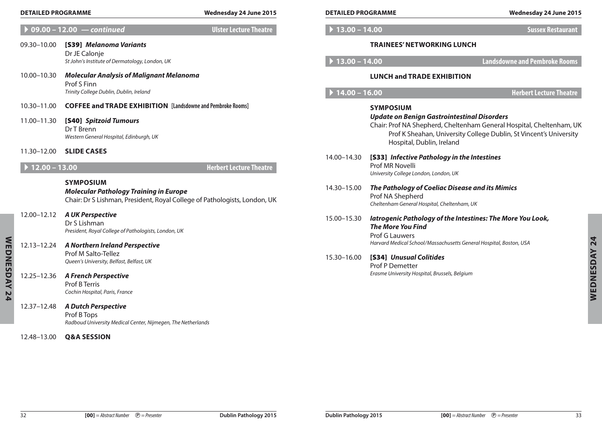| $\blacktriangleright$ 09.00 – 12.00 | – continued |
|-------------------------------------|-------------|
|                                     |             |

- 09.30–10.00 [S39] *Melanoma Variants* Dr JE Calonje *St John's Institute of Dermatology, London, UK*
- 10.00–10.30 *Molecular Analysis of Malignant Melanoma* Prof S Finn *Trinity College Dublin, Dublin, Ireland*
- 10.30–11.00 **Coffee and Trade Exhibition [Landsdowne and Pembroke Rooms]**
- 11.00–11.30 [S40] *Spitzoid Tumours* Dr T Brenn *Western General Hospital, Edinburgh, UK*
- 11.30–12.00 **Slide Cases**

| <b>SYMPOSIUM</b>                                                          |
|---------------------------------------------------------------------------|
| <b>Molecular Pathology Training in Europe</b>                             |
| Chair: Dr S Lishman, President, Royal College of Pathologists, London, UK |

- 12.13–12.24 *A Northern Ireland Perspective* Prof M Salto-Tellez *Queen's University, Belfast, Belfast, UK*
- 12.25–12.36 *A French Perspective* Prof B Terris

| <b>DETAILED PROGRAMME</b><br>Wednesday 24 June 2015 |                                                                                                                                                       | <b>DETAILED PROGRAMME</b>      |                 | Wednesday 24 June 2015                                                                                                               |                                                                                                                                            |                     |
|-----------------------------------------------------|-------------------------------------------------------------------------------------------------------------------------------------------------------|--------------------------------|-----------------|--------------------------------------------------------------------------------------------------------------------------------------|--------------------------------------------------------------------------------------------------------------------------------------------|---------------------|
|                                                     | $\overline{09.00} - 12.00$ - continued                                                                                                                | <b>Ulster Lecture Theatre</b>  | $13.00 - 14.00$ |                                                                                                                                      | <b>Sussex Restaurant</b>                                                                                                                   |                     |
| 09.30-10.00                                         | [S39] Melanoma Variants<br>Dr JE Calonje<br>St John's Institute of Dermatology, London, UK                                                            |                                | $13.00 - 14.00$ | <b>TRAINEES' NETWORKING LUNCH</b>                                                                                                    | <b>Landsdowne and Pembroke Rooms</b>                                                                                                       |                     |
| 10.00–10.30                                         | <b>Molecular Analysis of Malignant Melanoma</b><br>Prof S Finn<br>Trinity College Dublin, Dublin, Ireland                                             |                                | $14.00 - 16.00$ | <b>LUNCH and TRADE EXHIBITION</b>                                                                                                    | <b>Herbert Lecture Theatre</b>                                                                                                             |                     |
| 10.30–11.00<br>11.00-11.30                          | <b>COFFEE and TRADE EXHIBITION</b> [Landsdowne and Pembroke Rooms]<br>[S40] Spitzoid Tumours<br>Dr T Brenn<br>Western General Hospital, Edinburgh, UK |                                |                 | <b>SYMPOSIUM</b><br><b>Update on Benign Gastrointestinal Disorders</b>                                                               | Chair: Prof NA Shepherd, Cheltenham General Hospital, Cheltenham, UK<br>Prof K Sheahan, University College Dublin, St Vincent's University |                     |
| 11.30-12.00<br>$12.00 - 13.00$                      | <b>SLIDE CASES</b>                                                                                                                                    | <b>Herbert Lecture Theatre</b> | 14.00-14.30     | Hospital, Dublin, Ireland<br>[S33] Infective Pathology in the Intestines<br>Prof MR Novelli<br>University College London, London, UK |                                                                                                                                            |                     |
|                                                     | <b>SYMPOSIUM</b><br><b>Molecular Pathology Training in Europe</b><br>Chair: Dr S Lishman, President, Royal College of Pathologists, London, UK        |                                | 14.30-15.00     | The Pathology of Coeliac Disease and its Mimics<br>Prof NA Shepherd<br>Cheltenham General Hospital, Cheltenham, UK                   |                                                                                                                                            |                     |
| 12.00–12.12                                         | <b>A UK Perspective</b><br>Dr S Lishman<br>President, Royal College of Pathologists, London, UK                                                       |                                | 15.00-15.30     | latrogenic Pathology of the Intestines: The More You Look,<br><b>The More You Find</b><br>Prof G Lauwers                             |                                                                                                                                            |                     |
| 12.13–12.24                                         | A Northern Ireland Perspective<br>Prof M Salto-Tellez<br>Queen's University, Belfast, Belfast, UK                                                     |                                | 15.30-16.00     | Harvard Medical School/Massachusetts General Hospital, Boston, USA<br>[S34] Unusual Colitides<br>Prof P Demetter                     |                                                                                                                                            |                     |
| 12.25-12.36                                         | <b>A French Perspective</b><br>Prof B Terris<br>Cochin Hospital, Paris, France                                                                        |                                |                 | Erasme University Hospital, Brussels, Belgium                                                                                        |                                                                                                                                            | <b>WEDNESDAY 24</b> |
| 12.37–12.48                                         | <b>A Dutch Perspective</b><br>Prof B Tops<br>Radboud University Medical Center, Nijmegen, The Netherlands                                             |                                |                 |                                                                                                                                      |                                                                                                                                            |                     |
| 12.48–13.00                                         | <b>Q&amp;A SESSION</b>                                                                                                                                |                                |                 |                                                                                                                                      |                                                                                                                                            |                     |
|                                                     |                                                                                                                                                       |                                |                 |                                                                                                                                      |                                                                                                                                            |                     |

**Wednesday 24**

WEDNESDAY 24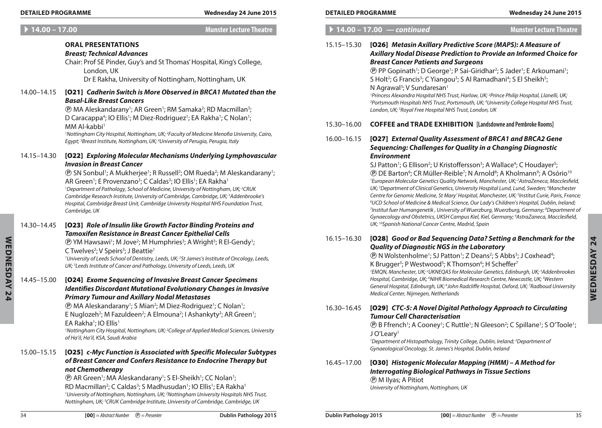**Oral Presentations**

London, UK

*Basal-Like Breast Cancers*

MM Al-kabbi<sup>1</sup>

# A **14.00 – 17.00 Munster Lecture Theatre** *Breast; Technical Advances* Chair: Prof SE Pinder, Guy's and St Thomas' Hospital, King's College, Dr E Rakha, University of Nottingham, Nottingham, UK 14.00–14.15 [O21] *Cadherin Switch is More Observed in BRCA1 Mutated than the*  **@ MA Aleskandarany<sup>1</sup>; AR Green<sup>1</sup>; RM Samaka<sup>2</sup>; RD Macmillan<sup>3</sup>;** D Caracappa<sup>4</sup>; IO Ellis<sup>1</sup>; M Diez-Rodriguez<sup>1</sup>; EA Rakha<sup>1</sup>; C Nolan<sup>1</sup>; *1 Nottingham City Hospital, Nottingham, UK; 2 Faculty of Medicine Menofia University, Cairo, Egypt; 3 Breast Institute, Nottingham, UK; 4 University of Perugia, Perugia, Italy*

14.15–14.30 [O22] *Exploring Molecular Mechanisms Underlying Lymphovascular Invasion in Breast Cancer*

> **(B)** SN Sonbul<sup>1</sup>; A Mukherjee<sup>1</sup>; R Russell<sup>2</sup>; OM Rueda<sup>2</sup>; M Aleskandarany<sup>1</sup>; AR Green<sup>1</sup>; E Provenzano<sup>3</sup>; C Caldas<sup>3</sup>; IO Ellis<sup>1</sup>; EA Rakha<sup>1</sup> *1 Department of Pathology, School of Medicine, University of Nottingham, UK; 2 CRUK Cambridge Research Institute, University of Cambridge, Cambridge, UK; 3 Addenbrooke's Hospital, Cambridge Breast Unit, Cambridge University Hospital NHS Foundation Trust, Cambridge, UK*

14.30–14.45 [O23] *Role of Insulin like Growth Factor Binding Proteins and Tamoxifen Resistance in Breast Cancer Epithelial Cells*

> **<sup>®</sup> YM Hawsawi<sup>1</sup>; M Jove<sup>2</sup>; M Humphries<sup>3</sup>; A Wright<sup>3</sup>; R El-Gendy<sup>1</sup>;** C Twelves<sup>2</sup>; V Speirs<sup>3</sup>; J Beattie<sup>1</sup>

*1 University of Leeds School of Dentistry, Leeds, UK; 2 St James's Institute of Oncology, Leeds, UK; 3 Leeds Institute of Cancer and Pathology, University of Leeds, Leeds, UK*

14.45–15.00 [O24] *Exome Sequencing of Invasive Breast Cancer Specimens Identifies Discordant Mutational Evolutionary Changes in Invasive Primary Tumour and Axillary Nodal Metastases*

**(B)** MA Aleskandarany<sup>1</sup>; S Mian<sup>2</sup>; M Diez-Rodriguez<sup>1</sup>; C Nolan<sup>1</sup>; E Nuglozeh<sup>2</sup>; M Fazuldeen<sup>2</sup>; A Elmouna<sup>2</sup>; I Ashankyty<sup>2</sup>; AR Green<sup>1</sup>; EA Rakha<sup>1</sup>; IO Ellis<sup>1</sup>

*1 Nottingham City Hospital, Nottingham, UK; 2 College of Applied Medical Sciences, University of Ha'il, Ha'il, KSA, Saudi Arabia*

## 15.00–15.15 [O25] *c-Myc Function is Associated with Specific Molecular Subtypes of Breast Cancer and Confers Resistance to Endocrine Therapy but not Chemotherapy*

**(B)** AR Green<sup>1</sup>; MA Aleskandarany<sup>1</sup>; S El-Sheikh<sup>1</sup>; CC Nolan<sup>1</sup>; RD Macmillan<sup>2</sup>; C Caldas<sup>3</sup>; S Madhusudan<sup>1</sup>; IO Ellis<sup>1</sup>; EA Rakha<sup>1</sup> <sup>1</sup> University of Nottingham, Nottingham, UK; <sup>2</sup> Nottingham University Hospitals NHS Trust, *Nottingham, UK; 3 CRUK Cambridge Institute, University of Cambridge, Cambridge, UK*

**Wednesday 24**

WEDNESDAY 24

A **14.00 – 17.00** *— continued* **Munster Lecture Theatre** 15.15–15.30 [O26] *Metasin Axillary Predictive Score (MAPS): A Measure of Axillary Nodal Disease Prediction to Provide an Informed Choice for Breast Cancer Patients and Surgeons* **(B)** PP Gopinath<sup>1</sup>; D George<sup>1</sup>; P Sai-Giridhar<sup>2</sup>; S Jader<sup>1</sup>; E Arkoumani<sup>1</sup>; S Holt<sup>2</sup>; G Francis<sup>3</sup>; C Yiangou<sup>3</sup>; S Al Ramadhani<sup>4</sup>; S El Sheikh<sup>5</sup>; N Agrawal<sup>3</sup>; V Sundaresan<sup>1</sup> <sup>1</sup>Princess Alexandra Hospital NHS Trust, Harlow, UK; <sup>2</sup>Prince Philip Hospital, Llanelli, UK;<br><sup>3</sup>Portsmouth Hospitals NHS Trust, Portsmouth, UK<sup>, 4</sup>University College Hospital NHS Tru *Portsmouth Hospitals NHS Trust, Portsmouth, UK; 4 University College Hospital NHS Trust, London, UK; 5 Royal Free Hospital NHS Trust, London, UK* 15.30–16.00 **Coffee and Trade Exhibition [Landsdowne and Pembroke Rooms]** 16.00–16.15 [O27] *External Quality Assessment of BRCA1 and BRCA2 Gene Sequencing: Challenges for Quality in a Changing Diagnostic Environment* SJ Patton<sup>1</sup>; G Ellison<sup>2</sup>; U Kristoffersson<sup>3</sup>; A Wallace<sup>4</sup>; C Houdayer<sup>5</sup>; **Detailed Programme Wednesday 24 June 2015 Detailed Programme Wednesday 24 June 2015**

**(B)** DE Barton<sup>6</sup>; CR Müller-Reible<sup>7</sup>; N Arnold<sup>8</sup>; A Kholmann<sup>9</sup>; A Osório<sup>10</sup> <sup>1</sup> European Molecular Genetics Quality Network, Manchester, UK; <sup>2</sup>AstraZeneca, Macclesfield, UK;<sup>3</sup> Department of Clinical Genetics, University Hospital Lund, Lund, Sweden; <sup>4</sup>Manchester *Centre for Genomic Medicine, St Mary' Hospital, Manchester, UK; 5 Institut Curie, Paris, France; 6 UCD School of Medicine & Medical Science, Our Lady's Children's Hospital, Dublin, Ireland; 7 Institut fuer Humangenetik , University of Wuerzburg, Wuerzburg, Germany; 8 Department of Gynaecology and Obstetrics, UKSH Campus Kiel, Kiel, Germany; 9 AstraZaneca, Macclesfield, UK; 10Spanish National Cancer Centre, Madrid, Spain*

## 16.15–16.30 [O28] *Good or Bad Sequencing Data? Setting a Benchmark for the Quality of Diagnostic NGS in the Laboratory*

**(B)** N Wolstenholme<sup>1</sup>; SJ Patton<sup>1</sup>; Z Deans<sup>2</sup>; S Abbs<sup>3</sup>; J Coxhead<sup>4</sup>;

## K Brugger<sup>3</sup>; P Westwood<sup>5</sup>; K Thomson<sup>6</sup>; H Scheffer<sup>7</sup>

<sup>1</sup> EMQN, Manchester, UK; <sup>2</sup>UKNEQAS for Molecular Genetics, Edinburgh, UK; <sup>3</sup>Addenbrookes Hospital, Cambridge, UK; <sup>4</sup>NIHR Biomedical Research Centre, Newcastle, UK; <sup>5</sup>Western *General Hospital, Edinburgh, UK; 6 John Radcliffe Hospital, Oxford, UK; 7 Radboud University Medical Center, Nijmegen, Netherlands*

## 16.30–16.45 [O29] *CTC-5: A Novel Digital Pathology Approach to Circulating Tumour Cell Characterisation*

**(B)** B Ffrench<sup>1</sup>; A Cooney<sup>1</sup>; C Ruttle<sup>1</sup>; N Gleeson<sup>2</sup>; C Spillane<sup>1</sup>; S O'Toole<sup>1</sup>; J O'Leary<sup>1</sup>

<sup>1</sup>Department of Histopathology, Trinity College, Dublin, Ireland; <sup>2</sup>Department of *Gynaeological Oncology, St. James's Hospital, Dublin, Ireland*

### 16.45–17.00 [O30] *Histogenic Molecular Mapping (HMM) – A Method for Interrogating Biological Pathways in Tissue Sections* P M Ilyas; A Pitiot *University of Nottingham, Nottingham, UK*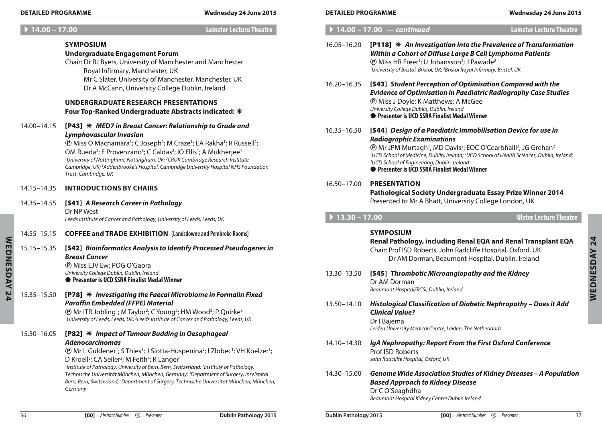#### A **14.00 – 17.00 Leinster Lecture Theatre**

#### **Symposium**

#### **Undergraduate Engagement Forum**

Chair: Dr RJ Byers, University of Manchester and Manchester Royal Infirmary, Manchester, UK Mr C Slater, University of Manchester, Manchester, UK Dr A McCann, University College Dublin, Ireland

#### **Undergraduate Research Presentations Four Top-Ranked Undergraduate Abstracts indicated:**

14.00–14.15 [P43] *MED7 in Breast Cancer: Relationship to Grade and Lymphovascular Invasion*

> **(B)** Miss O Macnamara<sup>1</sup>; C Joseph<sup>1</sup>; M Craze<sup>1</sup>; EA Rakha<sup>1</sup>; R Russell<sup>2</sup>; OM Rueda<sup>2</sup>; E Provenzano<sup>3</sup>; C Caldas<sup>2</sup>; IO Ellis<sup>1</sup>; A Mukherjee<sup>1</sup> *1 University of Nottingham, Nottingham, UK; 2 CRUK Cambridge Research Institute, Cambridge, UK; 3 Addenbrooke's Hospital, Cambridge University Hospital NHS Foundation Trust, Cambridge, UK*

14.15–14.35 **Introductions by chairs**

### 14.35–14.55 [S41] *A Research Career in Pathology* Dr NP West

*Leeds Institute of Cancer and Pathology, University of Leeds, Leeds, UK*

- 14.55–15.15 **Coffee and Trade Exhibition [Landsdowne and Pembroke Rooms]**
- 15.15–15.35 [S42] *Bioinformatics Analysis to Identify Processed Pseudogenes in Breast Cancer* P Miss EJV Ew; POG O'Gaora *University College Dublin, Dublin, Ireland*

**• Presenter is UCD SSRA Finalist Medal Winner** 

### 15.35–15.50 [P78] *Investigating the Faecal Microbiome in Formalin Fixed Paraffin Embedded (FFPE) Material*

**@ Mr ITR Jobling<sup>1</sup>; M Taylor<sup>2</sup>; C Young<sup>2</sup>; HM Wood<sup>2</sup>; P Quirke<sup>2</sup>** <sup>1</sup> University of Leeds, Leeds, UK; <sup>2</sup> Leeds Institute of Cancer and Pathology, Leeds, UK

### 15.50–16.05 [P82] *Impact of Tumour Budding in Oesophageal Adenocarcinomas*

**<sup>®</sup> Mr L Guldener<sup>1</sup>; S Thies<sup>1</sup>; J Slotta-Huspenina<sup>2</sup>; I Zlobec<sup>1</sup>; VH Koelzer<sup>1</sup>;** D Kroell<sup>3</sup>; CA Seiler<sup>3</sup>; M Feith<sup>4</sup>; R Langer<sup>1</sup>

<sup>1</sup> Institute of Pathology, University of Bern, Bern, Switzerland; <sup>2</sup> Institute of Pathology, *Technische Universität München, München, Germany; 3 Department of Surgery, Inselspital*  Bern, Bern, Switzerland; <sup>4</sup>Department of Surgery, Technische Universität München, München, *Germany*

| <b>DETAILED PROGRAMME</b><br><b>DETAILED PROGRAMME</b><br><br>/24 June 2015<br>.vednesdav | <b>Wednesdav</b> ∠<br>24 June 2015<br>- 24 |
|-------------------------------------------------------------------------------------------|--------------------------------------------|
|-------------------------------------------------------------------------------------------|--------------------------------------------|

|                                     | $14.00 - 17.00$ - continued                                                                                                                                                                                                                                                                                                                                                                                                                                              | <b>Leinster Lecture Theatre</b> |
|-------------------------------------|--------------------------------------------------------------------------------------------------------------------------------------------------------------------------------------------------------------------------------------------------------------------------------------------------------------------------------------------------------------------------------------------------------------------------------------------------------------------------|---------------------------------|
| 16.05-16.20                         | [P118] * An Investigation Into the Prevalence of Transformation<br>Within a Cohort of Diffuse Large B Cell Lymphoma Patients<br><b><i>®</i></b> Miss HR Freer <sup>1</sup> ; U Johansson <sup>2</sup> ; J Pawade <sup>2</sup><br><sup>1</sup> University of Bristol, Bristol, UK; <sup>2</sup> Bristol Royal Infirmary, Bristol, UK                                                                                                                                      |                                 |
| 16.20-16.35                         | [S43] Student Perception of Optimisation Compared with the<br><b>Evidence of Optimisation in Paediatric Radiography Case Studies</b><br><b><i>@</i></b> Miss J Doyle; K Matthews; A McGee<br>University College Dublin, Dublin, Ireland<br>● Presenter is UCD SSRA Finalist Medal Winner                                                                                                                                                                                 |                                 |
| 16.35-16.50                         | [S44] Design of a Paediatric Immobilisation Device for use in<br><b>Radiographic Examinations</b><br><b><i><b>@ Mr JPM Murtagh<sup>1</sup>; MD Davis<sup>2</sup>; EOC O'Cearbhaill<sup>3</sup>; JG Grehan<sup>2</sup></b></i></b><br><sup>1</sup> UCD School of Medicine, Dublin, Ireland; <sup>2</sup> UCD School of Health Sciences, Dublin, Ireland;<br><sup>3</sup> UCD School of Engineering, Dublin, Ireland<br><b>Presenter is UCD SSRA Finalist Medal Winner</b> |                                 |
| 16.50-17.00                         | <b>PRESENTATION</b><br>Pathological Society Undergraduate Essay Prize Winner 2014<br>Presented to Mr A Bhatt, University College London, UK                                                                                                                                                                                                                                                                                                                              |                                 |
| $\blacktriangleright$ 13.30 - 17.00 |                                                                                                                                                                                                                                                                                                                                                                                                                                                                          | <b>Ulster Lecture Theatre</b>   |
|                                     | <b>SYMPOSIUM</b><br>Renal Pathology, including Renal EQA and Renal Transplant EQA                                                                                                                                                                                                                                                                                                                                                                                        |                                 |
|                                     | Chair: Prof ISD Roberts, John Radcliffe Hospital, Oxford, UK<br>Dr AM Dorman, Beaumont Hospital, Dublin, Ireland                                                                                                                                                                                                                                                                                                                                                         |                                 |
| 13.30-13.50                         | [S45] Thrombotic Microangiopathy and the Kidney<br>Dr AM Dorman<br>Beaumont Hospital/RCSI, Dublin, Ireland                                                                                                                                                                                                                                                                                                                                                               |                                 |
| 13.50-14.10                         | Histological Classification of Diabetic Nephropathy - Does it Add<br><b>Clinical Value?</b><br>Dr I Bajema<br>Leiden University Medical Centre, Leiden, The Netherlands                                                                                                                                                                                                                                                                                                  |                                 |
| 14.10-14.30                         | IgA Nephropathy: Report From the First Oxford Conference<br><b>Prof ISD Roberts</b><br>John Radcliffe Hospital, Oxford, UK                                                                                                                                                                                                                                                                                                                                               |                                 |

**Wednesday 24**

24

**WEDNESDAY**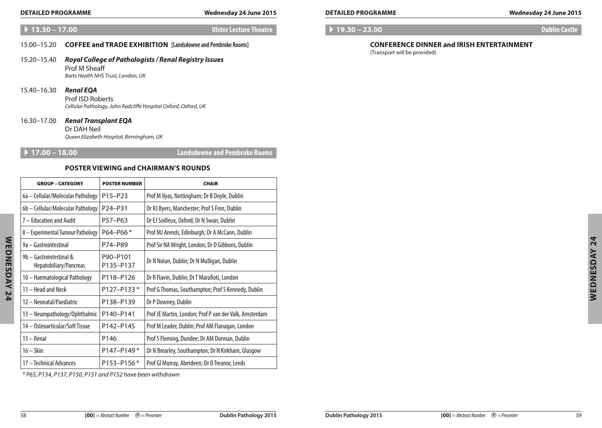### **Detailed Programme Wednesday 24 June 2015 Detailed Programme Wednesday 24 June 2015**

### A **13.30 – 17.00 Ulster Lecture Theatre**

### 15.00–15.20 **Coffee and Trade Exhibition [Landsdowne and Pembroke Rooms]**

#### 15.20–15.40 *Royal College of Pathologists / Renal Registry Issues* Prof M Sheaff *Barts Health NHS Trust, London, UK*

15.40–16.30 *Renal EQA*

Prof ISD Roberts *Cellular Pathology, John Radcliffe Hospital Oxford, Oxford, UK*

### 16.30–17.00 *Renal Transplant EQA*

Dr DAH Neil *Queen Elizabeth Hospital, Birmingham, UK*

A **17.00 – 18.00 Landsdowne and Pembroke Rooms**

## **Poster Viewing and Chairman's Rounds**

| <b>GROUP - CATEGORY</b>                           | <b>POSTER NUMBER</b>             | <b>CHAIR</b>                                           |
|---------------------------------------------------|----------------------------------|--------------------------------------------------------|
| 6a – Cellular/Molecular Pathology                 | P15-P23                          | Prof M Ilyas, Nottingham; Dr B Doyle, Dublin           |
| 6b - Cellular/Molecular Pathology                 | P <sub>24</sub> -P <sub>31</sub> | Dr RJ Byers, Manchester; Prof S Finn, Dublin           |
| 7 - Education and Audit                           | P57-P63                          | Dr EJ Soilleux, Oxford; Dr N Swan, Dublin              |
| 8 - Experimental Tumour Pathology                 | P64-P66*                         | Prof MJ Arends, Edinburgh; Dr A McCann, Dublin         |
| 9a – Gastrointestinal                             | P74-P89                          | Prof Sir NA Wright, London; Dr D Gibbons, Dublin       |
| 9b - Gastrointestinal &<br>Hepatobiliary/Pancreas | P90-P101<br>P135-P137            | Dr N Nolan, Dublin; Dr N Mulligan, Dublin              |
| 10 - Haematological Pathology                     | P118-P126                        | Dr R Flavin, Dublin; Dr T Marafioti, London            |
| 11 - Head and Neck                                | P127-P133*                       | Prof G Thomas, Southampton; Prof S Kennedy, Dublin     |
| 12 - Neonatal/Paediatric                          | P138-P139                        | Dr P Downey, Dublin                                    |
| 13 - Neuropathology/Ophthalmic                    | P140-P141                        | Prof JE Martin, London; Prof P van der Valk, Amsterdam |
| 14 – Osteoarticular/Soft Tissue                   | P142-P145                        | Prof M Leader, Dublin; Prof AM Flanagan, London        |
| $15 -$ Renal                                      | P146                             | Prof S Fleming, Dundee; Dr AM Dorman, Dublin           |
| $16 -$ Skin                                       | P147-P149*                       | Dr N Brearley, Southampton; Dr N Kirkham, Glasgow      |
| 17 - Technical Advances                           | $P153 - P156*$                   | Prof GI Murray, Aberdeen; Dr D Treanor, Leeds          |

A **19.30 – 23.00 Dublin Castle**

## **Conference Dinner and Irish Entertainment**

(Transport will be provided)

*\* P65, P134, P137, P150, P151 and P152 have been withdrawn*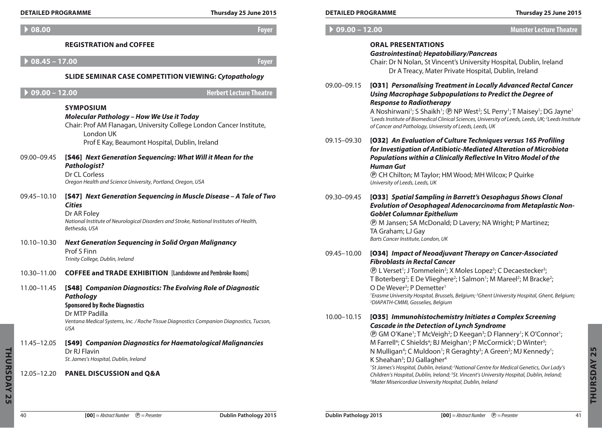| <b>DETAILED PROGRAMME</b>  |                                                                                                                                                                                                                                                                               | Thursday 25 June 2015          | <b>DETAILED PROGRAMME</b>      |                                                                                                                                                                                                                                                                                                                                                                                                                                                                                                               | Thursday 25 June 2015          |
|----------------------------|-------------------------------------------------------------------------------------------------------------------------------------------------------------------------------------------------------------------------------------------------------------------------------|--------------------------------|--------------------------------|---------------------------------------------------------------------------------------------------------------------------------------------------------------------------------------------------------------------------------------------------------------------------------------------------------------------------------------------------------------------------------------------------------------------------------------------------------------------------------------------------------------|--------------------------------|
| 08.00                      |                                                                                                                                                                                                                                                                               | <b>Foyer</b>                   | $\triangleright$ 09.00 - 12.00 |                                                                                                                                                                                                                                                                                                                                                                                                                                                                                                               | <b>Munster Lecture Theatre</b> |
| $08.45 - 17.00$            | <b>REGISTRATION and COFFEE</b><br><b>SLIDE SEMINAR CASE COMPETITION VIEWING: Cytopathology</b>                                                                                                                                                                                | <b>Foyer</b>                   |                                | <b>ORAL PRESENTATIONS</b><br><b>Gastrointestinal; Hepatobiliary/Pancreas</b><br>Chair: Dr N Nolan, St Vincent's University Hospital, Dublin, Ireland<br>Dr A Treacy, Mater Private Hospital, Dublin, Ireland                                                                                                                                                                                                                                                                                                  |                                |
| $09.00 - 12.00$            | <b>SYMPOSIUM</b><br><b>Molecular Pathology - How We Use it Today</b><br>Chair: Prof AM Flanagan, University College London Cancer Institute,<br>London UK                                                                                                                     | <b>Herbert Lecture Theatre</b> | 09.00-09.15                    | [031] Personalising Treatment in Locally Advanced Rectal Cancer<br>Using Macrophage Subpopulations to Predict the Degree of<br><b>Response to Radiotherapy</b><br>A Noshirwani <sup>1</sup> ; S Shaikh <sup>1</sup> ; ® NP West <sup>2</sup> ; SL Perry <sup>1</sup> ; T Maisey <sup>1</sup> ; DG Jayne <sup>1</sup><br><sup>1</sup> Leeds Institute of Biomedical Clinical Sciences, University of Leeds, Leeds, UK; <sup>2</sup> Leeds Institute<br>of Cancer and Pathology, University of Leeds, Leeds, UK |                                |
| 09.00-09.45                | Prof E Kay, Beaumont Hospital, Dublin, Ireland<br>[S46] Next Generation Sequencing: What Will it Mean for the<br><b>Pathologist?</b><br>Dr CL Corless<br>Oregon Health and Science University, Portland, Oregon, USA                                                          |                                | 09.15-09.30                    | [032] An Evaluation of Culture Techniques versus 16S Profiling<br>for Investigation of Antibiotic-Mediated Alteration of Microbiota<br>Populations within a Clinically Reflective In Vitro Model of the<br><b>Human Gut</b><br><b><i>®</i></b> CH Chilton; M Taylor; HM Wood; MH Wilcox; P Quirke<br>University of Leeds, Leeds, UK                                                                                                                                                                           |                                |
| 09.45-10.10<br>10.10-10.30 | [S47] Next Generation Sequencing in Muscle Disease - A Tale of Two<br><b>Cities</b><br>Dr AR Foley<br>National Institute of Neurological Disorders and Stroke, National Institutes of Health,<br>Bethesda, USA<br><b>Next Generation Sequencing in Solid Organ Malignancy</b> |                                | 09.30-09.45                    | [033] Spatial Sampling in Barrett's Oesophagus Shows Clonal<br>Evolution of Oesophageal Adenocarcinoma from Metaplastic Non-<br><b>Goblet Columnar Epithelium</b><br><b><i>(P)</i></b> M Jansen; SA McDonald; D Lavery; NA Wright; P Martinez;<br>TA Graham; LJ Gay<br>Barts Cancer Institute, London, UK                                                                                                                                                                                                     |                                |
| 10.30-11.00                | Prof S Finn<br>Trinity College, Dublin, Ireland<br><b>COFFEE and TRADE EXHIBITION</b> [Landsdowne and Pembroke Rooms]                                                                                                                                                         |                                | 09.45–10.00                    | [034] Impact of Neoadjuvant Therapy on Cancer-Associated<br><b>Fibroblasts in Rectal Cancer</b><br><b>(P)</b> L Verset <sup>1</sup> ; J Tommelein <sup>2</sup> ; X Moles Lopez <sup>3</sup> ; C Decaestecker <sup>3</sup> ;                                                                                                                                                                                                                                                                                   |                                |
| 11.00-11.45                | [S48] Companion Diagnostics: The Evolving Role of Diagnostic<br>Pathology<br><b>Sponsored by Roche Diagnostics</b>                                                                                                                                                            |                                |                                | T Boterberg <sup>2</sup> ; E De Vlieghere <sup>2</sup> ; I Salmon <sup>1</sup> ; M Mareel <sup>2</sup> ; M Bracke <sup>2</sup> ;<br>O De Wever <sup>2</sup> ; P Demetter <sup>1</sup><br><sup>1</sup> Erasme University Hospital, Brussels, Belgium; <sup>2</sup> Ghent University Hospital, Ghent, Belgium;<br><sup>3</sup> DIAPATH-CMMI, Gosselies, Belgium                                                                                                                                                 |                                |
|                            | Dr MTP Padilla<br>Ventana Medical Systems, Inc. / Roche Tissue Diagnostics Companion Diagnostics, Tucson,<br>USA                                                                                                                                                              |                                | 10.00-10.15                    | [035] Immunohistochemistry Initiates a Complex Screening<br><b>Cascade in the Detection of Lynch Syndrome</b><br><b><i>@ GM O'Kane<sup>1</sup>; T McVeigh<sup>2</sup>; D Keegan<sup>3</sup>; D Flannery<sup>1</sup>; K O'Connor<sup>1</sup>;</i></b>                                                                                                                                                                                                                                                          |                                |
| 11.45-12.05                | [S49] Companion Diagnostics for Haematological Malignancies<br>Dr RJ Flavin<br>St. James's Hospital, Dublin, Ireland                                                                                                                                                          |                                |                                | M Farrell <sup>4</sup> ; C Shields <sup>4</sup> ; BJ Meighan <sup>1</sup> ; P McCormick <sup>1</sup> ; D Winter <sup>3</sup> ;<br>N Mulligan <sup>4</sup> ; C Muldoon <sup>1</sup> ; R Geraghty <sup>3</sup> ; A Green <sup>2</sup> ; MJ Kennedy <sup>1</sup> ;<br>K Sheahan <sup>3</sup> ; DJ Gallagher <sup>4</sup><br><sup>1</sup> St James's Hospital, Dublin, Ireland; <sup>2</sup> National Centre for Medical Genetics, Our Lady's                                                                     |                                |
| 12.05-12.20                | <b>PANEL DISCUSSION and Q&amp;A</b>                                                                                                                                                                                                                                           |                                |                                | Children's Hospital, Dublin, Ireland; <sup>3</sup> St. Vincent's University Hospital, Dublin, Ireland;<br><sup>4</sup> Mater Misericordiae University Hospital, Dublin, Ireland                                                                                                                                                                                                                                                                                                                               |                                |

| <b>DETAILED PROGRAMME</b> |                                                                                                                                           | Thursday 25 June 2015                                                                                                                                                                                                                                                                                                                                                                                                                                              |  |  |
|---------------------------|-------------------------------------------------------------------------------------------------------------------------------------------|--------------------------------------------------------------------------------------------------------------------------------------------------------------------------------------------------------------------------------------------------------------------------------------------------------------------------------------------------------------------------------------------------------------------------------------------------------------------|--|--|
| $09.00 - 12.00$           | <b>Munster Lecture Theatre</b>                                                                                                            |                                                                                                                                                                                                                                                                                                                                                                                                                                                                    |  |  |
|                           | <b>ORAL PRESENTATIONS</b><br><b>Gastrointestinal; Hepatobiliary/Pancreas</b>                                                              | Chair: Dr N Nolan, St Vincent's University Hospital, Dublin, Ireland<br>Dr A Treacy, Mater Private Hospital, Dublin, Ireland                                                                                                                                                                                                                                                                                                                                       |  |  |
| 09.00-09.15               | <b>Response to Radiotherapy</b><br>of Cancer and Pathology, University of Leeds, Leeds, UK                                                | [031] Personalising Treatment in Locally Advanced Rectal Cancer<br>Using Macrophage Subpopulations to Predict the Degree of<br>A Noshirwani <sup>1</sup> ; S Shaikh <sup>1</sup> ; <b>@</b> NP West <sup>2</sup> ; SL Perry <sup>1</sup> ; T Maisey <sup>1</sup> ; DG Jayne <sup>1</sup><br><sup>1</sup> Leeds Institute of Biomedical Clinical Sciences, University of Leeds, Leeds, UK; <sup>2</sup> Leeds Institute                                             |  |  |
| 09.15-09.30               | <b>Human Gut</b><br>® CH Chilton; M Taylor; HM Wood; MH Wilcox; P Quirke<br>University of Leeds, Leeds, UK                                | [032] An Evaluation of Culture Techniques versus 16S Profiling<br>for Investigation of Antibiotic-Mediated Alteration of Microbiota<br>Populations within a Clinically Reflective In Vitro Model of the                                                                                                                                                                                                                                                            |  |  |
| 09.30-09.45               | <b>Goblet Columnar Epithelium</b><br>TA Graham; LJ Gay<br>Barts Cancer Institute, London, UK                                              | [033] Spatial Sampling in Barrett's Oesophagus Shows Clonal<br>Evolution of Oesophageal Adenocarcinoma from Metaplastic Non-<br><b><i>@ M Jansen; SA McDonald; D Lavery; NA Wright; P Martinez;</i></b>                                                                                                                                                                                                                                                            |  |  |
| 09.45-10.00               | <b>Fibroblasts in Rectal Cancer</b><br>O De Wever <sup>2</sup> ; P Demetter <sup>1</sup><br><sup>3</sup> DIAPATH-CMMI, Gosselies, Belgium | [034] Impact of Neoadjuvant Therapy on Cancer-Associated<br><b>(D)</b> L Verset <sup>1</sup> ; J Tommelein <sup>2</sup> ; X Moles Lopez <sup>3</sup> ; C Decaestecker <sup>3</sup> ;<br>T Boterberg <sup>2</sup> ; E De Vlieghere <sup>2</sup> ; I Salmon <sup>1</sup> ; M Mareel <sup>2</sup> ; M Bracke <sup>2</sup> ;<br><sup>1</sup> Erasme University Hospital, Brussels, Belgium; <sup>2</sup> Ghent University Hospital, Ghent, Belgium;                    |  |  |
| 10.00-10.15               | <b>Cascade in the Detection of Lynch Syndrome</b>                                                                                         | [035] Immunohistochemistry Initiates a Complex Screening<br><b><i>@ GM O'Kane<sup>1</sup>; T McVeigh<sup>2</sup>; D Keegan<sup>3</sup>; D Flannery<sup>1</sup>; K O'Connor<sup>1</sup>;</i></b><br>M Farrell <sup>4</sup> ; C Shields <sup>4</sup> ; BJ Meighan <sup>1</sup> ; P McCormick <sup>1</sup> ; D Winter <sup>3</sup> ;<br>N Mulligan <sup>4</sup> ; C Muldoon <sup>1</sup> ; R Geraghty <sup>3</sup> ; A Green <sup>2</sup> ; MJ Kennedy <sup>1</sup> ; |  |  |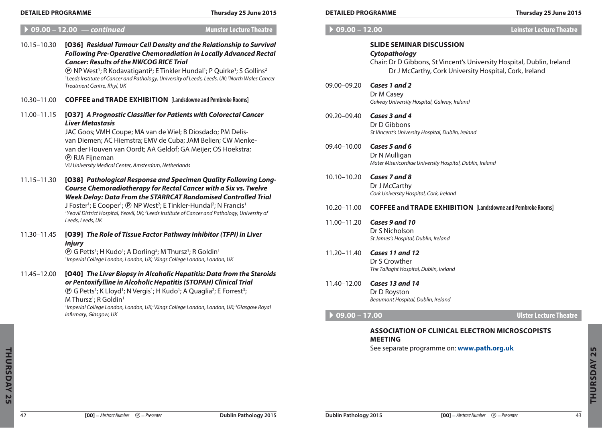A **09.00 – 12.00** *— continued* **Munster Lecture Theatre**

|             | $V2$ , $V0 - V1$ , $V0 - V1$ , $V1$ , $V0 - V1$<br><b>MAIDICI FECIALE LIICANE</b>                                                                                                                                                                                                                                                                                                                                                                                                                                |
|-------------|------------------------------------------------------------------------------------------------------------------------------------------------------------------------------------------------------------------------------------------------------------------------------------------------------------------------------------------------------------------------------------------------------------------------------------------------------------------------------------------------------------------|
| 10.15-10.30 | [O36] Residual Tumour Cell Density and the Relationship to Survival<br><b>Following Pre-Operative Chemoradiation in Locally Advanced Rectal</b><br><b>Cancer: Results of the NWCOG RICE Trial</b><br><b><i>®</i></b> NP West <sup>1</sup> ; R Kodavatiganti <sup>2</sup> ; E Tinkler Hundal <sup>1</sup> ; P Quirke <sup>1</sup> ; S Gollins <sup>2</sup><br><sup>1</sup> Leeds Institute of Cancer and Pathology, University of Leeds, Leeds, UK; <sup>2</sup> North Wales Cancer<br>Treatment Centre, Rhyl, UK |
| 10.30-11.00 | <b>COFFEE and TRADE EXHIBITION</b> [Landsdowne and Pembroke Rooms]                                                                                                                                                                                                                                                                                                                                                                                                                                               |
| 11.00-11.15 | [037] A Prognostic Classifier for Patients with Colorectal Cancer<br><b>Liver Metastasis</b><br>JAC Goos; VMH Coupe; MA van de Wiel; B Diosdado; PM Delis-<br>van Diemen; AC Hiemstra; EMV de Cuba; JAM Belien; CW Menke-<br>van der Houven van Oordt; AA Geldof; GA Meijer; OS Hoekstra;<br><b><i><b>D</b></i></b> RJA Fijneman<br>VU University Medical Center, Amsterdam, Netherlands                                                                                                                         |
| 11.15-11.30 | [038] Pathological Response and Specimen Quality Following Long-<br><b>Course Chemoradiotherapy for Rectal Cancer with a Six vs. Twelve</b><br><b>Week Delay: Data From the STARRCAT Randomised Controlled Trial</b><br>J Foster <sup>1</sup> ; E Cooper <sup>1</sup> ; <sup>®</sup> NP West <sup>2</sup> ; E Tinkler-Hundal <sup>2</sup> ; N Francis <sup>1</sup><br><sup>1</sup> Yeovil District Hospital, Yeovil, UK; <sup>2</sup> Leeds Institute of Cancer and Pathology, University of<br>Leeds, Leeds, UK |
| 11.30-11.45 | [039] The Role of Tissue Factor Pathway Inhibitor (TFPI) in Liver<br><b>Injury</b><br><b><i>(D)</i></b> G Petts <sup>1</sup> ; H Kudo <sup>1</sup> ; A Dorling <sup>2</sup> ; M Thursz <sup>1</sup> ; R Goldin <sup>1</sup><br><sup>1</sup> Imperial College London, London, UK; <sup>2</sup> Kings College London, London, UK                                                                                                                                                                                   |
| 11.45-12.00 | [040] The Liver Biopsy in Alcoholic Hepatitis: Data from the Steroids<br>or Pentoxifylline in Alcoholic Hepatitis (STOPAH) Clinical Trial<br><b><i>(D)</i></b> G Petts <sup>1</sup> ; K Lloyd <sup>1</sup> ; N Vergis <sup>1</sup> ; H Kudo <sup>1</sup> ; A Quaglia <sup>2</sup> ; E Forrest <sup>3</sup> ;<br>M Thursz <sup>1</sup> ; R Goldin <sup>1</sup><br><sup>1</sup> Imperial College London, London, UK; <sup>2</sup> Kings College London, London, UK; <sup>3</sup> Glasgow Royal                     |

A **09.00 – 12.00 Leinster Lecture Theatre**

| <b>SLIDE SEMINAR DISCUSSION</b>                                        |
|------------------------------------------------------------------------|
| Cytopathology                                                          |
| Chair: Dr D Gibbons, St Vincent's University Hospital, Dublin, Ireland |

Dr J McCarthy, Cork University Hospital, Cork, Ireland

- 09.00–09.20 *Cases 1 and 2* Dr M Casey *Galway University Hospital, Galway, Ireland*
- 09.20–09.40 *Cases 3 and 4* Dr D Gibbons *St Vincent's University Hospital, Dublin, Ireland*
- 09.40–10.00 *Cases 5 and 6* Dr N Mulligan *Mater Misericordiae University Hospital, Dublin, Ireland*
- 10.10–10.20 *Cases 7 and 8* Dr J McCarthy *Cork University Hospital, Cork, Ireland*
- 10.20–11.00 **Coffee and Trade Exhibition [Landsdowne and Pembroke Rooms]**
- 11.00–11.20 *Cases 9 and 10* Dr S Nicholson *St James's Hospital, Dublin, Ireland*
- 11.20–11.40 *Cases 11 and 12* Dr S Crowther *The Tallaght Hospital, Dublin, Ireland*
- 11.40–12.00 *Cases 13 and 14* Dr D Royston *Beaumont Hospital, Dublin, Ireland*

## A **09.00 – 17.00 Ulster Lecture Theatre**

## **Association of Clinical Electron Microscopists Meeting**

See separate programme on: **www.path.org.uk**

*Infirmary, Glasgow, UK*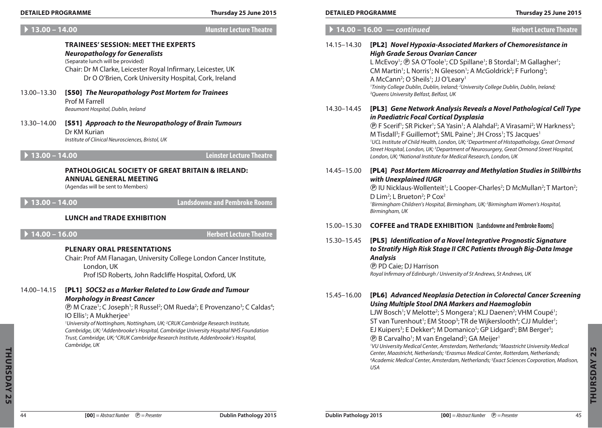| <b>DETAILED PROGRAMME</b><br>Thursday 25 June 2015<br>$\triangleright$ 13.00 - 14.00<br><b>Munster Lecture Theatre</b> |                                                                                                                                                                                                                                                                                                                                                                                                                                                                                                                                                                                                                                                           |                                      | <b>DETAILED PROGRAMME</b> |                                                                                                                                                                                                                                                                                                                                                                                                                                                                                                                                                                                                                                                                                                                                                                                                                                                                                                                                                                      | Thursday 25 June 2015                           |  |
|------------------------------------------------------------------------------------------------------------------------|-----------------------------------------------------------------------------------------------------------------------------------------------------------------------------------------------------------------------------------------------------------------------------------------------------------------------------------------------------------------------------------------------------------------------------------------------------------------------------------------------------------------------------------------------------------------------------------------------------------------------------------------------------------|--------------------------------------|---------------------------|----------------------------------------------------------------------------------------------------------------------------------------------------------------------------------------------------------------------------------------------------------------------------------------------------------------------------------------------------------------------------------------------------------------------------------------------------------------------------------------------------------------------------------------------------------------------------------------------------------------------------------------------------------------------------------------------------------------------------------------------------------------------------------------------------------------------------------------------------------------------------------------------------------------------------------------------------------------------|-------------------------------------------------|--|
|                                                                                                                        |                                                                                                                                                                                                                                                                                                                                                                                                                                                                                                                                                                                                                                                           | $14.00 - 16.00 - \text{continued}$   |                           | <b>Herbert Lecture Theatre</b>                                                                                                                                                                                                                                                                                                                                                                                                                                                                                                                                                                                                                                                                                                                                                                                                                                                                                                                                       |                                                 |  |
| 13.00-13.30                                                                                                            | <b>TRAINEES' SESSION: MEET THE EXPERTS</b><br><b>Neuropathology for Generalists</b><br>(Separate lunch will be provided)<br>Chair: Dr M Clarke, Leicester Royal Infirmary, Leicester, UK<br>Dr O O'Brien, Cork University Hospital, Cork, Ireland<br>[S50] The Neuropathology Post Mortem for Trainees<br>Prof M Farrell                                                                                                                                                                                                                                                                                                                                  |                                      | 14.15–14.30               | [PL2] Novel Hypoxia-Associated Markers of Chemoresistance in<br><b>High Grade Serous Ovarian Cancer</b><br>L McEvoy <sup>1</sup> ; @ SA O'Toole <sup>1</sup> ; CD Spillane <sup>1</sup> ; B Stordal <sup>1</sup> ; M Gallagher <sup>1</sup> ;<br>CM Martin <sup>1</sup> ; L Norris <sup>1</sup> ; N Gleeson <sup>1</sup> ; A McGoldrick <sup>2</sup> ; F Furlong <sup>3</sup> ;<br>A McCann <sup>2</sup> ; O Sheils <sup>1</sup> ; JJ O'Leary <sup>1</sup><br><sup>1</sup> Trinity College Dublin, Dublin, Ireland; <sup>2</sup> University College Dublin, Dublin, Ireland;<br><sup>3</sup> Queens University Belfast, Belfast, UK                                                                                                                                                                                                                                                                                                                                  |                                                 |  |
| 13.30-14.00                                                                                                            | Beaumont Hospital, Dublin, Ireland<br>[S51] Approach to the Neuropathology of Brain Tumours<br>Dr KM Kurian<br>Institute of Clinical Neurosciences, Bristol, UK                                                                                                                                                                                                                                                                                                                                                                                                                                                                                           |                                      | 14.30–14.45               | [PL3] Gene Network Analysis Reveals a Novel Pathological Cell Type<br>in Paediatric Focal Cortical Dysplasia<br><b><i><b>O</b></i></b> F Scerif <sup>1</sup> ; SR Picker <sup>1</sup> ; SA Yasin <sup>1</sup> ; A Alahdal <sup>2</sup> ; A Virasami <sup>2</sup> ; W Harkness <sup>3</sup> ;<br>M Tisdall <sup>3</sup> ; F Guillemot <sup>4</sup> ; SML Paine <sup>1</sup> ; JH Cross <sup>1</sup> ; TS Jacques <sup>1</sup><br><sup>1</sup> UCL Institute of Child Health, London, UK; <sup>2</sup> Department of Histopathology, Great Ormond<br>Street Hospital, London, UK; <sup>3</sup> Department of Neurosurgery, Great Ormond Street Hospital,                                                                                                                                                                                                                                                                                                               |                                                 |  |
| $\triangleright$ 13.00 - 14.00                                                                                         |                                                                                                                                                                                                                                                                                                                                                                                                                                                                                                                                                                                                                                                           | <b>Leinster Lecture Theatre</b>      |                           | London, UK; <sup>4</sup> National Institute for Medical Research, London, UK                                                                                                                                                                                                                                                                                                                                                                                                                                                                                                                                                                                                                                                                                                                                                                                                                                                                                         |                                                 |  |
| $\blacktriangleright$ 13.00 - 14.00                                                                                    | <b>PATHOLOGICAL SOCIETY OF GREAT BRITAIN &amp; IRELAND:</b><br><b>ANNUAL GENERAL MEETING</b><br>(Agendas will be sent to Members)                                                                                                                                                                                                                                                                                                                                                                                                                                                                                                                         | <b>Landsdowne and Pembroke Rooms</b> | 14.45–15.00               | [PL4] Post Mortem Microarray and Methylation Studies in Stillbirths<br>with Unexplained IUGR<br><b>(D)</b> IU Nicklaus-Wollenteit <sup>1</sup> ; L Cooper-Charles <sup>2</sup> ; D McMullan <sup>2</sup> ; T Marton <sup>2</sup> ;<br>D Lim <sup>2</sup> ; L Brueton <sup>2</sup> ; P Cox <sup>2</sup>                                                                                                                                                                                                                                                                                                                                                                                                                                                                                                                                                                                                                                                               |                                                 |  |
|                                                                                                                        | <b>LUNCH and TRADE EXHIBITION</b>                                                                                                                                                                                                                                                                                                                                                                                                                                                                                                                                                                                                                         |                                      |                           | <sup>1</sup> Birmingham Children's Hospital, Birmingham, UK; <sup>2</sup> Birmingham Women's Hospital,<br>Birmingham, UK                                                                                                                                                                                                                                                                                                                                                                                                                                                                                                                                                                                                                                                                                                                                                                                                                                             |                                                 |  |
| $\blacktriangleright$ 14.00 - 16.00                                                                                    |                                                                                                                                                                                                                                                                                                                                                                                                                                                                                                                                                                                                                                                           | <b>Herbert Lecture Theatre</b>       | 15.00-15.30               | <b>COFFEE and TRADE EXHIBITION</b> [Landsdowne and Pembroke Rooms]                                                                                                                                                                                                                                                                                                                                                                                                                                                                                                                                                                                                                                                                                                                                                                                                                                                                                                   |                                                 |  |
|                                                                                                                        | <b>PLENARY ORAL PRESENTATIONS</b><br>Chair: Prof AM Flanagan, University College London Cancer Institute,<br>London, UK<br>Prof ISD Roberts, John Radcliffe Hospital, Oxford, UK                                                                                                                                                                                                                                                                                                                                                                                                                                                                          |                                      | 15.30-15.45               | [PL5] Identification of a Novel Integrative Prognostic Signature<br>to Stratify High Risk Stage II CRC Patients through Big-Data Image<br><b>Analysis</b><br><b><i>®</i></b> PD Caie; DJ Harrison<br>Royal Infirmary of Edinburgh / University of St Andrews, St Andrews, UK                                                                                                                                                                                                                                                                                                                                                                                                                                                                                                                                                                                                                                                                                         |                                                 |  |
| 14.00-14.15                                                                                                            | [PL1] SOCS2 as a Marker Related to Low Grade and Tumour<br><b>Morphology in Breast Cancer</b><br><b><i>(D)</i></b> M Craze <sup>1</sup> ; C Joseph <sup>1</sup> ; R Russel <sup>2</sup> ; OM Rueda <sup>2</sup> ; E Provenzano <sup>3</sup> ; C Caldas <sup>4</sup> ;<br>IO Ellis <sup>1</sup> ; A Mukherjee <sup>1</sup><br><sup>1</sup> University of Nottingham, Nottingham, UK; <sup>2</sup> CRUK Cambridge Research Institute,<br>Cambridge, UK; <sup>3</sup> Addenbrooke's Hospital, Cambridge University Hospital NHS Foundation<br>Trust, Cambridge, UK; <sup>4</sup> CRUK Cambridge Research Institute, Addenbrooke's Hospital,<br>Cambridge, UK |                                      | 15.45-16.00               | [PL6] Advanced Neoplasia Detection in Colorectal Cancer Screening<br><b>Using Multiple Stool DNA Markers and Haemoglobin</b><br>LJW Bosch <sup>1</sup> ; V Melotte <sup>2</sup> ; S Mongera <sup>1</sup> ; KLJ Daenen <sup>2</sup> ; VHM Coupé <sup>1</sup> ;<br>ST van Turenhout <sup>1</sup> ; EM Stoop <sup>3</sup> ; TR de Wijkerslooth <sup>4</sup> ; CJJ Mulder <sup>1</sup> ;<br>EJ Kuipers <sup>3</sup> ; E Dekker <sup>4</sup> ; M Domanico <sup>5</sup> ; GP Lidgard <sup>5</sup> ; BM Berger <sup>5</sup> ;<br><b><i>®</i></b> B Carvalho <sup>1</sup> ; M van Engeland <sup>2</sup> ; GA Meijer <sup>1</sup><br><sup>1</sup> VU University Medical Center, Amsterdam, Netherlands; <sup>2</sup> Maastricht University Medical<br>Center, Maastricht, Netherlands; <sup>3</sup> Erasmus Medical Center, Rotterdam, Netherlands;<br><sup>4</sup> Academic Medical Center, Amsterdam, Netherlands; <sup>5</sup> Exact Sciences Corporation, Madison,<br>USA | <b>In</b><br>$\mathbf{\Omega}$<br><b>URSDAY</b> |  |

## A **13.00 – 14.00 Munster Lecture Theatre**

#### **Trainees' Session: Meet The Experts** *Neuropathology for Generalists* (Separate lunch will be provided) Chair: Dr M Clarke, Leicester Royal Infirmary, Leicester, UK Dr O O'Brien, Cork University Hospital, Cork, Ireland

- 13.00–13.30 [S50] *The Neuropathology Post Mortem for Trainees* Prof M Farrell *Beaumont Hospital, Dublin, Ireland*
- 13.30–14.00 [S51] *Approach to the Neuropathology of Brain Tumours*  Dr KM Kurian *Institute of Clinical Neurosciences, Bristol, UK*

## **Pathological Society of Great Britain & Ireland: Annual General Meeting**

### **Lunch and Trade Exhibition**

### **Plenary Oral Presentations**

## 14.00–14.15 [PL1] *SOCS2 as a Marker Related to Low Grade and Tumour Morphology in Breast Cancer*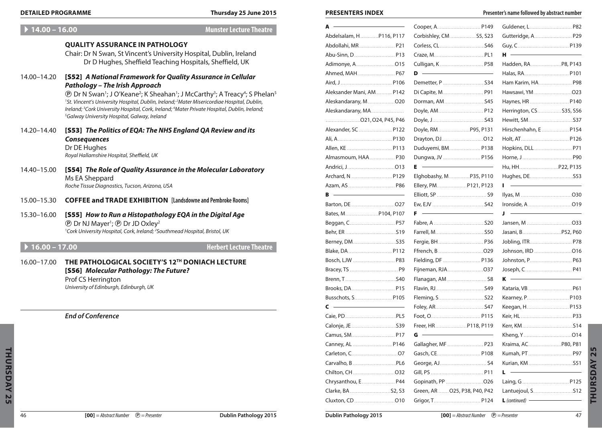#### **DETAILED PROGRAMME Thursday 25 June 2015 PRESENTERS INDEX PRESENTERS INDEX Presenter's name followed by abstract number**

| $14.00 - 16.00$   | <b>Munster Lecture Theatre</b>                                                                                                                                                   |  |
|-------------------|----------------------------------------------------------------------------------------------------------------------------------------------------------------------------------|--|
|                   | <b>QUALITY ASSURANCE IN PATHOLOGY</b>                                                                                                                                            |  |
|                   | Chair: Dr N Swan, St Vincent's University Hospital, Dublin, Ireland                                                                                                              |  |
|                   | Dr D Hughes, Sheffield Teaching Hospitals, Sheffield, UK                                                                                                                         |  |
| 14.00-14.20       |                                                                                                                                                                                  |  |
|                   | [S52] A National Framework for Quality Assurance in Cellular<br><b>Pathology - The Irish Approach</b>                                                                            |  |
|                   | <b><i><b>O</b></i></b> Dr N Swan <sup>1</sup> ; J O'Keane <sup>2</sup> ; K Sheahan <sup>1</sup> ; J McCarthy <sup>3</sup> ; A Treacy <sup>4</sup> ; S Phelan <sup>5</sup>        |  |
|                   | <sup>1</sup> St. Vincent's University Hospital, Dublin, Ireland; <sup>2</sup> Mater Misericordiae Hospital, Dublin,                                                              |  |
|                   | Ireland; <sup>3</sup> Cork University Hospital, Cork, Ireland; <sup>4</sup> Mater Private Hospital, Dublin, Ireland;<br><sup>5</sup> Galway University Hospital, Galway, Ireland |  |
| 14.20–14.40       | [S53] The Politics of EQA: The NHS England QA Review and its                                                                                                                     |  |
|                   | <b>Consequences</b>                                                                                                                                                              |  |
|                   | Dr DE Hughes                                                                                                                                                                     |  |
|                   | Royal Hallamshire Hospital, Sheffield, UK                                                                                                                                        |  |
| 14.40-15.00       | [S54] The Role of Quality Assurance in the Molecular Laboratory                                                                                                                  |  |
|                   | Ms EA Sheppard                                                                                                                                                                   |  |
|                   | Roche Tissue Diagnostics, Tucson, Arizona, USA                                                                                                                                   |  |
| 15.00-15.30       | <b>COFFEE and TRADE EXHIBITION</b> [Landsdowne and Pembroke Rooms]                                                                                                               |  |
|                   |                                                                                                                                                                                  |  |
| 15.30-16.00       | [S55] How to Run a Histopathology EQA in the Digital Age<br><b><i>(D)</i></b> Dr NJ Mayer <sup>1</sup> ; <b><i>(D)</i></b> Dr JD Oxley <sup>2</sup>                              |  |
|                   | <sup>1</sup> Cork University Hospital, Cork, Ireland; <sup>2</sup> Southmead Hospital, Bristol, UK                                                                               |  |
|                   |                                                                                                                                                                                  |  |
| ▶ $16.00 - 17.00$ | <b>Herbert Lecture Theatre</b>                                                                                                                                                   |  |
| $16.00 - 17.00$   | THE PATHOLOGICAL SOCIETY'S 12TH DONIACH LECTURE                                                                                                                                  |  |
|                   | [S56] Molecular Pathology: The Future?                                                                                                                                           |  |
|                   | Prof CS Herrington                                                                                                                                                               |  |
|                   | University of Edinburgh, Edinburgh, UK                                                                                                                                           |  |
|                   |                                                                                                                                                                                  |  |
|                   | <b>End of Conference</b>                                                                                                                                                         |  |
|                   |                                                                                                                                                                                  |  |
|                   |                                                                                                                                                                                  |  |
|                   |                                                                                                                                                                                  |  |
|                   |                                                                                                                                                                                  |  |
|                   |                                                                                                                                                                                  |  |
|                   |                                                                                                                                                                                  |  |
|                   |                                                                                                                                                                                  |  |
|                   |                                                                                                                                                                                  |  |
|                   |                                                                                                                                                                                  |  |

| A                                                                                                                                                                                                                                         | Cooper, A.  P149                                                                                                            |  |
|-------------------------------------------------------------------------------------------------------------------------------------------------------------------------------------------------------------------------------------------|-----------------------------------------------------------------------------------------------------------------------------|--|
| Abdelsalam, H P116, P117                                                                                                                                                                                                                  | Corbishley, CM  S5, S23                                                                                                     |  |
|                                                                                                                                                                                                                                           |                                                                                                                             |  |
|                                                                                                                                                                                                                                           |                                                                                                                             |  |
|                                                                                                                                                                                                                                           |                                                                                                                             |  |
|                                                                                                                                                                                                                                           | <u> Alexandria de la contentación de la contentación de la contentación de la contentación de la contentación de l</u><br>D |  |
|                                                                                                                                                                                                                                           |                                                                                                                             |  |
| Aleksander Mani, AM P142                                                                                                                                                                                                                  | Di Capite, M P9                                                                                                             |  |
|                                                                                                                                                                                                                                           |                                                                                                                             |  |
| Aleskandarany, MA                                                                                                                                                                                                                         | Doyle, AM P12                                                                                                               |  |
|                                                                                                                                                                                                                                           |                                                                                                                             |  |
| Alexander, SC  P122                                                                                                                                                                                                                       | Doyle, RM  P95, P13                                                                                                         |  |
|                                                                                                                                                                                                                                           |                                                                                                                             |  |
|                                                                                                                                                                                                                                           | Duduyemi, BM P138                                                                                                           |  |
| Almasmoum, HAA P30                                                                                                                                                                                                                        | Dungwa, JV  P156                                                                                                            |  |
|                                                                                                                                                                                                                                           | Е                                                                                                                           |  |
| Archard, N  P129                                                                                                                                                                                                                          | Elghobashy, M P35, P110                                                                                                     |  |
|                                                                                                                                                                                                                                           | Ellery, PM P121, P123                                                                                                       |  |
| <u> Alexandria (Carlo Carlo Carlo Carlo Carlo Carlo Carlo Carlo Carlo Carlo Carlo Carlo Carlo Carlo Carlo Carlo Carlo Carlo Carlo Carlo Carlo Carlo Carlo Carlo Carlo Carlo Carlo Carlo Carlo Carlo Carlo Carlo Carlo Carlo Carl</u><br>в |                                                                                                                             |  |
|                                                                                                                                                                                                                                           |                                                                                                                             |  |
| Bates, M P104, P107                                                                                                                                                                                                                       | the control of the control of the control of the control of<br>F                                                            |  |
| Beggan, C P57                                                                                                                                                                                                                             |                                                                                                                             |  |
|                                                                                                                                                                                                                                           |                                                                                                                             |  |
|                                                                                                                                                                                                                                           |                                                                                                                             |  |
|                                                                                                                                                                                                                                           |                                                                                                                             |  |
|                                                                                                                                                                                                                                           | Fielding, DF  P136                                                                                                          |  |
|                                                                                                                                                                                                                                           |                                                                                                                             |  |
|                                                                                                                                                                                                                                           |                                                                                                                             |  |
|                                                                                                                                                                                                                                           |                                                                                                                             |  |
| Busschots, S P105                                                                                                                                                                                                                         |                                                                                                                             |  |
| <u> The Common State of the Common State of the Common State of the Common State of the Common State of the Common State of the Common State of the Common State of the Common State of the Common State of the Common State of </u><br>c |                                                                                                                             |  |
|                                                                                                                                                                                                                                           |                                                                                                                             |  |
|                                                                                                                                                                                                                                           |                                                                                                                             |  |
| Camus, SM P17                                                                                                                                                                                                                             | G                                                                                                                           |  |
|                                                                                                                                                                                                                                           | Gallagher, MF  P23                                                                                                          |  |
|                                                                                                                                                                                                                                           | Gasch, CE.  P108                                                                                                            |  |
|                                                                                                                                                                                                                                           |                                                                                                                             |  |
|                                                                                                                                                                                                                                           |                                                                                                                             |  |
| Chrysanthou, E P44                                                                                                                                                                                                                        |                                                                                                                             |  |
|                                                                                                                                                                                                                                           | Green, AR  O25, P38, P40, P42                                                                                               |  |
|                                                                                                                                                                                                                                           |                                                                                                                             |  |

| . P149       | Guldener, L P82                                                                                                                                                                                                                                                                                                                                                                                                                                                                 |  |
|--------------|---------------------------------------------------------------------------------------------------------------------------------------------------------------------------------------------------------------------------------------------------------------------------------------------------------------------------------------------------------------------------------------------------------------------------------------------------------------------------------|--|
| S5, S23      | Gutteridge, A.  P29                                                                                                                                                                                                                                                                                                                                                                                                                                                             |  |
| S46          |                                                                                                                                                                                                                                                                                                                                                                                                                                                                                 |  |
| PL1          | <u> Alexandria de la contrada de la contrada de la contrada de la contrada de la contrada de la contrada de la c</u><br>н.                                                                                                                                                                                                                                                                                                                                                      |  |
| P58          |                                                                                                                                                                                                                                                                                                                                                                                                                                                                                 |  |
| $\sim$       | Halas, RA P101                                                                                                                                                                                                                                                                                                                                                                                                                                                                  |  |
| . 534        | Ham Karim, HA P98                                                                                                                                                                                                                                                                                                                                                                                                                                                               |  |
| P91          |                                                                                                                                                                                                                                                                                                                                                                                                                                                                                 |  |
|              | Haynes, HR P140                                                                                                                                                                                                                                                                                                                                                                                                                                                                 |  |
| P12          | Herrington, CS S35, S56                                                                                                                                                                                                                                                                                                                                                                                                                                                         |  |
| S43          |                                                                                                                                                                                                                                                                                                                                                                                                                                                                                 |  |
| P95, P131    | Hirschenhahn, E  P154                                                                                                                                                                                                                                                                                                                                                                                                                                                           |  |
| 012          |                                                                                                                                                                                                                                                                                                                                                                                                                                                                                 |  |
| P138         |                                                                                                                                                                                                                                                                                                                                                                                                                                                                                 |  |
| P156         |                                                                                                                                                                                                                                                                                                                                                                                                                                                                                 |  |
|              |                                                                                                                                                                                                                                                                                                                                                                                                                                                                                 |  |
| P35, P110    |                                                                                                                                                                                                                                                                                                                                                                                                                                                                                 |  |
| P121, P123   | П                                                                                                                                                                                                                                                                                                                                                                                                                                                                               |  |
| . 59         |                                                                                                                                                                                                                                                                                                                                                                                                                                                                                 |  |
|              |                                                                                                                                                                                                                                                                                                                                                                                                                                                                                 |  |
|              | $\overline{\phantom{a}}$ $\overline{\phantom{a}}$ $\overline{\phantom{a}}$ $\overline{\phantom{a}}$ $\overline{\phantom{a}}$ $\overline{\phantom{a}}$ $\overline{\phantom{a}}$ $\overline{\phantom{a}}$ $\overline{\phantom{a}}$ $\overline{\phantom{a}}$ $\overline{\phantom{a}}$ $\overline{\phantom{a}}$ $\overline{\phantom{a}}$ $\overline{\phantom{a}}$ $\overline{\phantom{a}}$ $\overline{\phantom{a}}$ $\overline{\phantom{a}}$ $\overline{\phantom{a}}$ $\overline{\$ |  |
| S20          |                                                                                                                                                                                                                                                                                                                                                                                                                                                                                 |  |
| S50          | Jasani, B.       P52, P60                                                                                                                                                                                                                                                                                                                                                                                                                                                       |  |
| P36          |                                                                                                                                                                                                                                                                                                                                                                                                                                                                                 |  |
| . 029        |                                                                                                                                                                                                                                                                                                                                                                                                                                                                                 |  |
| P136         |                                                                                                                                                                                                                                                                                                                                                                                                                                                                                 |  |
| 037          | Joseph, C P41                                                                                                                                                                                                                                                                                                                                                                                                                                                                   |  |
| . 58         | $\mathbf{K}$ $\qquad$                                                                                                                                                                                                                                                                                                                                                                                                                                                           |  |
|              | Kataria, VB  P61                                                                                                                                                                                                                                                                                                                                                                                                                                                                |  |
| . 522        | Kearney, P.         P103                                                                                                                                                                                                                                                                                                                                                                                                                                                        |  |
| S47          | Keegan, H.         P153                                                                                                                                                                                                                                                                                                                                                                                                                                                         |  |
| P115         |                                                                                                                                                                                                                                                                                                                                                                                                                                                                                 |  |
| P118, P119   |                                                                                                                                                                                                                                                                                                                                                                                                                                                                                 |  |
|              |                                                                                                                                                                                                                                                                                                                                                                                                                                                                                 |  |
| . P23        | Kraima, AC P80, P81                                                                                                                                                                                                                                                                                                                                                                                                                                                             |  |
| P108         | Kumah, PT P97                                                                                                                                                                                                                                                                                                                                                                                                                                                                   |  |
| . 54         |                                                                                                                                                                                                                                                                                                                                                                                                                                                                                 |  |
| . P11        | L                                                                                                                                                                                                                                                                                                                                                                                                                                                                               |  |
| 026          | Laing, G  P125                                                                                                                                                                                                                                                                                                                                                                                                                                                                  |  |
| 38, P40, P42 |                                                                                                                                                                                                                                                                                                                                                                                                                                                                                 |  |
| P124         | $L$ (continued) $\overline{\phantom{L}}$                                                                                                                                                                                                                                                                                                                                                                                                                                        |  |

**Thursday 25**

THURSDAY

 $\overline{25}$